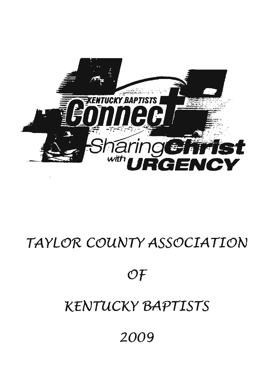

# TAYLOR COUNTY ASSOCIATION

 $\mathcal{O}\mathcal{F}$ 

# **KENTUCKY BAPTISTS**

2009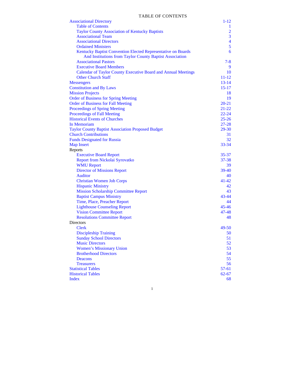| <b>Associational Directory</b>                                | $1 - 12$                |
|---------------------------------------------------------------|-------------------------|
| <b>Table of Contents</b>                                      | $\mathbf{1}$            |
| <b>Taylor County Association of Kentucky Baptists</b>         | $\overline{2}$          |
| <b>Associational Team</b>                                     | $\overline{3}$          |
| <b>Associational Directors</b>                                | $\overline{\mathbf{4}}$ |
| <b>Ordained Ministers</b>                                     | 5                       |
| Kentucky Baptist Convention Elected Representative on Boards  | 6                       |
| And Institutions from Taylor County Baptist Association       |                         |
| <b>Associational Pastors</b>                                  | $7 - 8$                 |
| <b>Executive Board Members</b>                                | 9                       |
| Calendar of Taylor County Executive Board and Annual Meetings | 10                      |
| <b>Other Church Staff</b>                                     | $11 - 12$               |
| <b>Messengers</b>                                             | $13 - 14$               |
| <b>Constitution and By Laws</b>                               | $15-17$                 |
| <b>Mission Projects</b>                                       | 18                      |
| <b>Order of Business for Spring Meeting</b>                   | 19                      |
| <b>Order of Business for Fall Meeting</b>                     | $20 - 21$               |
| <b>Proceedings of Spring Meeting</b>                          | $21 - 22$               |
| <b>Proceedings of Fall Meeting</b>                            | $22 - 24$               |
| <b>Historical Events of Churches</b>                          | $25 - 26$               |
| In Memoriam                                                   | $27 - 28$               |
| <b>Taylor County Baptist Association Proposed Budget</b>      | $29 - 30$               |
| <b>Church Contributions</b>                                   | 31                      |
| <b>Funds Designated for Russia</b>                            | 32                      |
| <b>Map Insert</b>                                             | $33 - 34$               |
| Reports                                                       |                         |
| <b>Executive Board Report</b>                                 | 35-37                   |
| Report from Nickolai Syrovatko                                | $37 - 38$               |
| <b>WMU Report</b>                                             | 39                      |
| <b>Director of Missions Report</b>                            | 39-40                   |
| Auditor                                                       | 40                      |
| <b>Christian Women Job Corps</b>                              | 41-42                   |
| <b>Hispanic Ministry</b>                                      | 42                      |
| <b>Mission Scholarship Committee Report</b>                   | 43                      |
| <b>Baptist Campus Ministry</b>                                | $43 - 44$               |
| Time, Place, Preacher Report                                  | 44                      |
| <b>Lighthouse Counseling Report</b>                           | $45 - 46$               |
| <b>Vision Committee Report</b>                                | $47 - 48$               |
| <b>Resolutions Committee Report</b>                           | 48                      |
| <b>Directors</b>                                              |                         |
| <b>Clerk</b>                                                  | 49-50                   |
| <b>Discipleship Training</b>                                  | 50                      |
| <b>Sunday School Directors</b>                                | 51                      |
| <b>Music Directors</b>                                        | 52                      |
| <b>Women's Missionary Union</b>                               | 53                      |
| <b>Brotherhood Directors</b>                                  | 54                      |
| Deacons                                                       | 55                      |
| <b>Treasurers</b>                                             | 56                      |
| <b>Statistical Tables</b>                                     | $57-61$                 |
| <b>Historical Tables</b>                                      | $62 - 67$               |
| <b>Index</b>                                                  | 68                      |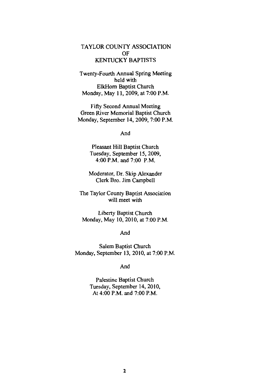# TAYLOR COUNTY ASSOCIATION OF **KENTUCKY BAPTISTS**

Twenty-Fourth Annual Spring Meeting held with ElkHorn Baptist Church Monday, May 11, 2009, at 7:00 P.M.

Fifty Second Annual Meeting Green River Memorial Baptist Church Monday, September 14, 2009, 7:00 P.M.

And

Pleasant Hill Baptist Church Tuesday, September 15, 2009, 4:00 P.M. and 7:00 P.M.

Moderator, Dr. Skip Alexander Clerk Bro. Jim Campbell

The Taylor County Baptist Association will meet with

Liberty Baptist Church Monday, May 10, 2010, at 7:00 P.M.

And

Salem Baptist Church Monday, September 13, 2010, at 7:00 P.M.

And

Palestine Baptist Church Tuesday, September 14, 2010, At 4:00 P.M. and 7:00 P.M.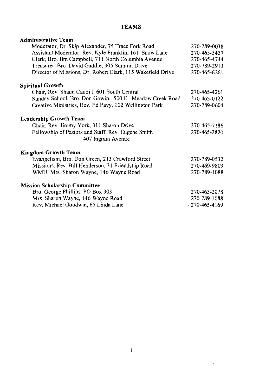# **TEAMS**

| <b>Administrative Team</b>                                  |                     |
|-------------------------------------------------------------|---------------------|
| Moderator, Dr. Skip Alexander, 75 Trace Fork Road           | 270-789-0038        |
| Assistant Moderator, Rev. Kyle Franklin, 161 Snow Lane      | 270-465-5457        |
| Clerk, Bro. Jim Campbell, 711 North Columbia Avenue         | 270-465-4744        |
| Treasurer, Bro. David Gaddie, 305 Summit Drive              | 270-789-2913        |
| Director of Missions, Dr. Robert Clark, 115 Wakefield Drive | 270-465-6261        |
| <b>Spiritual Growth</b>                                     |                     |
| Chair, Rev. Shaun Caudill, 601 South Central                | 270-465-4261        |
| Sunday School, Bro. Don Gowin, 500 E. Meadow Creek Road     | 270-465-0122        |
| Creative Ministries, Rev. Ed Pavy, 102 Wellington Park      | 270-789-0604        |
| Leadership Growth Team                                      |                     |
| Chair, Rev. Jimmy York, 311 Sharon Drive                    | 270-465-7186        |
| Fellowship of Pastors and Staff, Rev. Eugene Smith          | 270-465-2820        |
| 407 Ingram Avenue                                           |                     |
| <b>Kingdom Growth Team</b>                                  |                     |
| Evangelism, Bro. Don Green, 213 Crawford Street             | 270-789-0532        |
| Missions, Rev. Bill Henderson, 31 Friendship Road           | 270-469-9809        |
| WMU, Mrs. Sharon Wayne, 146 Wayne Road                      | 270-789-1088        |
| <b>Mission Scholarship Committee</b>                        |                     |
| Bro. George Phillips, PO Box 303                            | 270-465-2078        |
| Mrs. Sharon Wayne, 146 Wayne Road                           | 270-789-1088        |
| Rev. Michael Goodwin, 65 Linda Lane                         | $.270 - 465 - 4169$ |

 $\sim$   $\sim$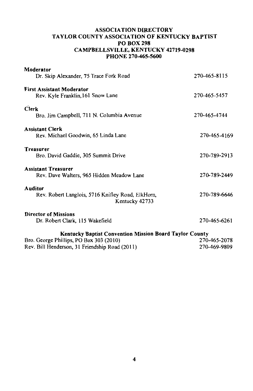## **ASSOCIATION DIRECTORY** TAYLOR COUNTY ASSOCIATION OF KENTUCKY BAPTIST **PO BOX 298 CAMPBELLSVILLE, KENTUCKY 42719-0298** PHONE 270-465-5600

| Moderator                                                                                                                        |              |
|----------------------------------------------------------------------------------------------------------------------------------|--------------|
| Dr. Skip Alexander, 75 Trace Fork Road                                                                                           | 270-465-8115 |
| <b>First Assistant Moderator</b><br>Rev. Kyle Franklin, 161 Snow Lane                                                            | 270-465-5457 |
| <b>Clerk</b><br>Bro. Jim Campbell, 711 N. Columbia Avenue                                                                        | 270-465-4744 |
| <b>Assistant Clerk</b><br>Rev. Michael Goodwin, 65 Linda Lane                                                                    | 270-465-4169 |
| Treasurer<br>Bro. David Gaddie, 305 Summit Drive                                                                                 | 270-789-2913 |
| <b>Assistant Treasurer</b><br>Rev. Dave Walters, 965 Hidden Meadow Lane                                                          | 270-789-2449 |
| Auditor<br>Rev. Robert Langlois, 5716 Knifley Road, ElkHorn,<br>Kentucky 42733                                                   | 270-789-6646 |
| <b>Director of Missions</b><br>Dr. Robert Clark, 115 Wakefield                                                                   | 270-465-6261 |
| <b>Kentucky Baptist Convention Mission Board Taylor County</b><br>$R_{\text{TO}}$ George Phillips, PO $R_{\text{OX}}$ 303 (2010) | 270-465-2078 |

| $100.$ Occurse 1 millips, FO D0A 303 (2010)    | $210 - 403 - 2010$ |
|------------------------------------------------|--------------------|
| Rev. Bill Henderson, 31 Friendship Road (2011) | 270-469-9809       |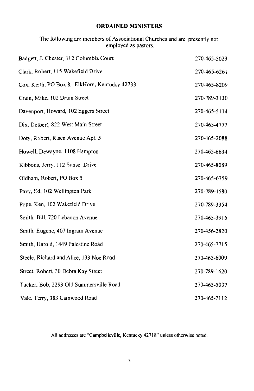#### **ORDAINED MINISTERS**

| employed as pastors.                          |              |  |
|-----------------------------------------------|--------------|--|
| Badgett, J. Chester, 112 Columbia Court       | 270-465-5023 |  |
| Clark, Robert, 115 Wakefield Drive            | 270-465-6261 |  |
| Cox, Keith, PO Box 8, ElkHorn, Kentucky 42733 | 270-465-8209 |  |
| Crain, Mike, 102 Druin Street                 | 270-789-3130 |  |
| Davenport, Howard, 102 Eggers Street          | 270-465-5114 |  |
| Dix, Delbert, 822 West Main Street            | 270-465-4777 |  |
| Doty, Robert, Risen Avenue Apt. 5             | 270-465-2088 |  |
| Howell, Dewayne, 1108 Hampton                 | 270-465-6634 |  |

The following are members of Associational Churches and are presently not

| Kibbons, Jerry, 112 Sunset Drive | 270-465-8089 |
|----------------------------------|--------------|
| Oldham. Robert. PO Box 5         | 270-465-6759 |

Pavy, Ed. 102 Wellington Park 270-789-1580 Pope, Ken, 102 Wakefield Drive 270-789-3354

Smith, Bill, 720 Lebanon Avenue 270-465-3915 Smith, Eugene, 407 Ingram Avenue 270-456-2820

270-465-7715

270-465-6009

Steele, Richard and Alice, 133 Noe Road

Smith, Harold, 1449 Palestine Road

- Street, Robert, 30 Debra Kay Street 270-789-1620 Tucker, Bob, 2293 Old Summersville Road 270-465-5007
- Vale, Terry, 383 Cainwood Road 270-465-7112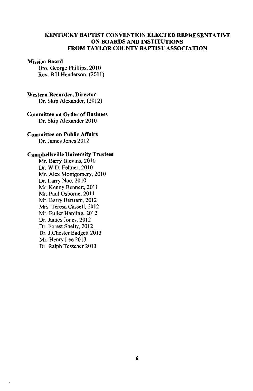#### **KENTUCKY BAPTIST CONVENTION ELECTED REPRESENTATIVE** ON BOARDS AND INSTITUTIONS FROM TAYLOR COUNTY BAPTIST ASSOCIATION

#### **Mission Board**

Bro. George Phillips, 2010 Rev. Bill Henderson, (2011)

#### Western Recorder, Director

Dr. Skip Alexander, (2012)

# **Committee on Order of Business**

Dr. Skip Alexander 2010

#### **Committee on Public Affairs**

Dr. James Jones 2012

#### **Campbellsville University Trustees**

Mr. Barry Blevins, 2010 Dr. W.D. Feltner, 2010 Mr. Alex Montgomery, 2010 Dr. Larry Noe, 2010 Mr. Kenny Bennett, 2011 Mr. Paul Osborne, 2011 Mr. Barry Bertram, 2012 Mrs. Teresa Cassell, 2012 Mr. Fuller Harding, 2012 Dr. James Jones, 2012 Dr. Forest Shelly, 2012 Dr. J.Chester Badgett 2013 Mr. Henry Lee 2013 Dr. Ralph Tessener 2013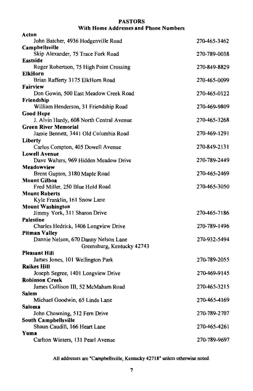## **PASTORS** With Home Addresses and Phone Numbers

| Acton                                                 |              |
|-------------------------------------------------------|--------------|
| John Batcher, 4936 Hodgenville Road                   | 270-465-3462 |
| Campbellsville                                        |              |
| Skip Alexander, 75 Trace Fork Road                    | 270-789-0038 |
| Eastside                                              |              |
| Roger Robertson, 75 High Point Crossing               | 270-849-8829 |
| ElkHorn                                               |              |
| Brian Rafferty 3175 ElkHorn Road                      | 270-465-0099 |
| Fairview                                              |              |
| Don Gowin, 500 East Meadow Creek Road                 | 270-465-0122 |
| Friendship                                            |              |
| William Henderson, 31 Friendship Road                 | 270-469-9809 |
| Good Hope<br>J. Alvin Hardy, 608 North Central Avenue |              |
| Green River Memorial                                  | 270-465-3268 |
| Jamie Bennett, 3441 Old Columbia Road                 | 270-469-1291 |
| Liberty                                               |              |
| Carlos Compton, 405 Dowell Avenue                     | 270-849-2131 |
| <b>Lowell Avenue</b>                                  |              |
| Dave Walters, 969 Hidden Meadow Drive                 | 270-789-2449 |
| Meadowview                                            |              |
| Brent Gupton, 3180 Maple Road                         | 270-465-2469 |
| Mount Gilboa                                          |              |
| Fred Miller, 250 Blue Hold Road                       | 270-465-3050 |
| <b>Mount Roberts</b>                                  |              |
| Kyle Franklin, 161 Snow Lane                          |              |
| <b>Mount Washington</b>                               |              |
| Jimmy York, 311 Sharon Drive                          | 270-465-7186 |
| Palestine                                             |              |
| Charles Hedrick, 1406 Longview Drive                  | 270-789-1496 |
| <b>Pitman Valley</b>                                  |              |
| Dannie Nelson, 670 Danny Nelson Lane                  | 270-932-5494 |
| Greensburg, Kentucky 42743                            |              |
| Pleasant Hill                                         |              |
| James Jones, 101 Wellington Park                      | 270-789-2055 |
| <b>Raikes Hill</b>                                    |              |
| Joseph Segree, 1401 Longview Drive                    | 270-469-9145 |
| <b>Robinson Creek</b>                                 |              |
| James Collison III, 52 McMaham Road<br>Salem          | 270-465-3215 |
| Michael Goodwin, 65 Linda Lane                        | 270-465-4169 |
| Saloma                                                |              |
| John Chowning, 512 Fern Drive                         | 270-789-2707 |
| South Campbellsville                                  |              |
| Shaun Caudill, 166 Heart Lane                         | 270-465-4261 |
| Yuma                                                  |              |
| Carlton Winters, 131 Pearl Avenue                     | 270-789-9697 |
|                                                       |              |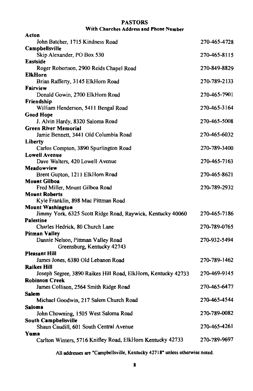#### **PASTORS** With Churches Address and Phone Number

| Acton                                                           |              |
|-----------------------------------------------------------------|--------------|
| John Batcher, 1715 Kindness Road                                | 270-465-4728 |
| Campbellsville                                                  |              |
| Skip Alexander, PO Box 530                                      | 270-465-8115 |
| <b>Eastside</b>                                                 |              |
| Roger Robertson, 2900 Reids Chapel Road                         | 270-849-8829 |
| <b>ElkHorn</b>                                                  |              |
| Brian Rafferty, 3145 ElkHorn Road                               | 270-789-2133 |
| <b>Fairview</b>                                                 |              |
| Donald Gowin, 2700 ElkHorn Road                                 | 270-465-7901 |
| Friendship                                                      |              |
| William Henderson, 5411 Bengal Road                             | 270-465-3164 |
| <b>Good Hope</b>                                                | 270-465-5008 |
| J. Alvin Hardy, 8320 Saloma Road<br><b>Green River Memorial</b> |              |
| Jamie Bennett, 3441 Old Columbia Road                           | 270-465-6032 |
| Liberty                                                         |              |
| Carlos Compton, 3890 Spurlington Road                           | 270-789-3400 |
| <b>Lowell Avenue</b>                                            |              |
| Dave Walters, 420 Lowell Avenue                                 | 270-465-7163 |
| Meadowview                                                      |              |
| Brent Gupton, 1211 ElkHorn Road                                 | 270-465-8621 |
| <b>Mount Gilboa</b>                                             |              |
| Fred Miller, Mount Gilboa Road                                  | 270-789-2932 |
| <b>Mount Roberts</b>                                            |              |
| Kyle Franklin, 898 Mac Pittman Road                             |              |
| <b>Mount Washington</b>                                         |              |
| Jimmy York, 6325 Scott Ridge Road, Raywick, Kentucky 40060      | 270-465-7186 |
| Palestine                                                       |              |
| Charles Hedrick, 80 Church Lane                                 | 270-789-0765 |
| <b>Pitman Valley</b>                                            |              |
| Dannie Nelson, Pittman Valley Road                              | 270-932-5494 |
| Greensburg, Kentucky 42743<br><b>Pleasant Hill</b>              |              |
| James Jones, 6380 Old Lebanon Road                              | 270-789-1462 |
| <b>Raikes Hill</b>                                              |              |
| Joseph Segree, 3890 Raikes Hill Road, ElkHorn, Kentucky 42733   | 270-469-9145 |
| <b>Robinson Creek</b>                                           |              |
| James Collison, 2564 Smith Ridge Road                           | 270-465-6477 |
| Salem                                                           |              |
| Michael Goodwin, 217 Salem Church Road                          | 270-465-4544 |
| Saloma                                                          |              |
| John Chowning, 1505 West Saloma Road                            | 270-789-0082 |
| South Campbellsville                                            |              |
| Shaun Caudill, 601 South Central Avenue                         | 270-465-4261 |
| Yuma                                                            |              |
| Carlton Winters, 5716 Knifley Road, ElkHorn Kentucky 42733      | 270-789-9697 |
|                                                                 |              |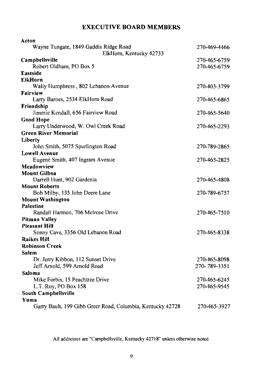# **EXECUTIVE BOARD MEMBERS**

| Acton                                                      |              |
|------------------------------------------------------------|--------------|
| Wayne Tungate, 1849 Gaddis Ridge Road                      | 270-469-4466 |
| ElkHorn, Kentucky 42733                                    |              |
| Campbellsville                                             | 270-465-6759 |
| Robert Oldham, PO Box 5                                    | 270-465-6759 |
| <b>Eastside</b>                                            |              |
| <b>ElkHorn</b><br>Wally Humphress, 802 Lebanon Avenue      | 270-403-3799 |
| <b>Fairview</b>                                            |              |
| Larry Barnes, 2534 ElkHorn Road                            | 270-465-6865 |
| Friendship                                                 |              |
| Jimmie Kendall, 656 Fairview Road                          | 270-465-5640 |
| <b>Good Hope</b>                                           |              |
| Larry Underwood, W. Owl Creek Road                         | 270-465-2293 |
| <b>Green River Memorial</b>                                |              |
| Liberty                                                    |              |
| John Smith, 5075 Spurlington Road                          | 270-789-2865 |
| <b>Lowell Avenue</b>                                       |              |
| Eugene Smith, 407 Ingram Avenue                            | 270-465-2825 |
| Meadowview                                                 |              |
| <b>Mount Gilboa</b>                                        |              |
| Darrell Hunt, 902 Gardenia                                 | 270-465-4808 |
| <b>Mount Roberts</b>                                       |              |
| Bob Milby, 135 John Deere Lane                             | 270-789-6757 |
| <b>Mount Washington</b>                                    |              |
| Palestine                                                  |              |
| Randall Harmon, 706 Melrose Drive                          | 270-465-7510 |
| <b>Pitman Valley</b>                                       |              |
| <b>Pleasant Hill</b>                                       |              |
| Sonny Cave, 3356 Old Lebanon Road                          | 270-465-8338 |
| <b>Raikes Hill</b>                                         |              |
| <b>Robinson Creek</b>                                      |              |
| Salem                                                      |              |
| Dr. Jerry Kibbon, 112 Sunset Drive                         | 270-465-8098 |
| Jeff Arnold, 599 Arnold Road                               | 270-789-3351 |
| Saloma                                                     |              |
| Mike Forbis, 15 Peachtree Drive                            | 270-465-6245 |
| L.T. Roy, PO Box 158                                       | 270-465-9545 |
| South Campbellsville                                       |              |
| Yuma                                                       |              |
| Garry Bault, 199 Gibb Greer Road, Columbia, Kentucky 42728 | 270-465-3927 |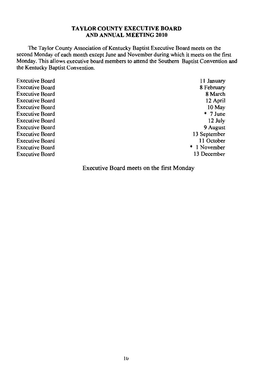#### **TAYLOR COUNTY EXECUTIVE BOARD** AND ANNUAL MEETING 2010

The Taylor County Association of Kentucky Baptist Executive Board meets on the second Monday of each month except June and November during which it meets on the first Monday. This allows executive board members to attend the Southern Baptist Convention and the Kentucky Baptist Convention.

**Executive Board Executive Board Executive Board Executive Board Executive Board Executive Board Executive Board Executive Board Executive Board Executive Board Executive Board Executive Board** 

11 January 8 February 8 March 12 April 10 May  $*$  7 June 12 July 9 August 13 September 11 October \* 1 November 13 December

Executive Board meets on the first Monday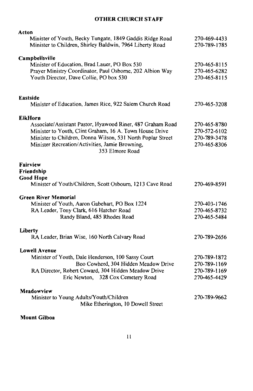# **OTHER CHURCH STAFF**

| Acton<br>Minister of Youth, Becky Tungate, 1849 Gaddis Ridge Road<br>Minister to Children, Shirley Baldwin, 7964 Liberty Road                                                                                                                                                | 270-469-4433<br>270-789-1785                                 |
|------------------------------------------------------------------------------------------------------------------------------------------------------------------------------------------------------------------------------------------------------------------------------|--------------------------------------------------------------|
| Campbellsville<br>Minister of Education, Brad Lauer, PO Box 530<br>Prayer Ministry Coordinator, Paul Osborne, 202 Albion Way<br>Youth Director, Dave Collie, PO box 530                                                                                                      | 270-465-8115<br>270-465-6282<br>270-465-8115                 |
| <b>Eastside</b><br>Minister of Education, James Rice, 922 Salem Church Road                                                                                                                                                                                                  | 270-465-3208                                                 |
| <b>ElkHorn</b><br>Associate/Assistant Pastor, Hyawood Riner, 487 Graham Road<br>Minister to Youth, Clint Graham, 16 A. Town House Drive<br>Minister to Children, Donna Wilson, 531 North Poplar Street<br>Minister Recreation/Activities, Jamie Browning,<br>353 Elmore Road | 270-465-8780<br>270-572-6102<br>270-789-3478<br>270-465-8306 |
| <b>Fairview</b><br>Friendship<br><b>Good Hope</b><br>Minister of Youth/Children, Scott Osbourn, 1213 Cave Road                                                                                                                                                               | 270-469-8591                                                 |
| <b>Green River Memorial</b><br>Minister of Youth, Aaron Gabehart, PO Box 1224<br>RA Leader, Tony Clark, 616 Hatcher Road<br>Randy Bland, 485 Rhodes Road                                                                                                                     | 270-403-1746<br>270-465-8732<br>270-465-5484                 |
| Liberty<br>RA Leader, Brian Wise, 160 North Calvary Road                                                                                                                                                                                                                     | 270-789-2656                                                 |
| Lowell Avenue<br>Minister of Youth, Dale Henderson, 100 Sassy Court<br>Boo Cowherd, 304 Hidden Meadow Drive<br>RA Director, Robert Coward, 304 Hidden Meadow Drive<br>Eric Newton, 328 Cox Cemetery Road                                                                     | 270-789-1872<br>270-789-1169<br>270-789-1169<br>270-465-4429 |
| Meadowview<br>Minister to Young Adults/Youth/Children<br>Mike Etherington, 10 Dowell Street                                                                                                                                                                                  | 270-789-9662                                                 |
|                                                                                                                                                                                                                                                                              |                                                              |

## **Mount Gilboa**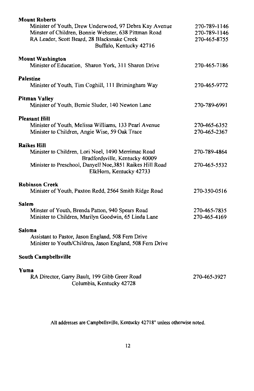| <b>Mount Roberts</b>                                                                                            |                              |
|-----------------------------------------------------------------------------------------------------------------|------------------------------|
| Minister of Youth, Drew Underwood, 97 Debra Kay Avenue<br>Minster of Children, Bonnie Webster, 638 Pittman Road | 270-789-1146<br>270-789-1146 |
| RA Leader, Scott Beard, 28 Blacksnake Creek<br>Buffalo, Kentucky 42716                                          | 270-465-8755                 |
| <b>Mount Washington</b><br>Minister of Education, Sharon York, 311 Sharon Drive                                 | 270-465-7186                 |
| <b>Palestine</b><br>Minister of Youth, Tim Coghill, 111 Brimingham Way                                          | 270-465-9772                 |
| Pitman Valley<br>Minister of Youth, Bernie Sluder, 140 Newton Lane                                              | 270-789-6991                 |
| <b>Pleasant Hill</b>                                                                                            |                              |
| Minister of Youth, Melissa Williams, 133 Pearl Avenue<br>Minister to Children, Angie Wise, 59 Oak Trace         | 270-465-6352<br>270-465-2367 |
| <b>Raikes Hill</b>                                                                                              |                              |
| Minister to Children, Lori Noel, 1490 Merrimac Road<br>Bradfordsville, Kentucky 40009                           | 270-789-4864                 |
| Minister to Preschool, Danyell Noe, 3851 Raikes Hill Road<br>ElkHorn, Kentucky 42733                            | 270-465-5532                 |
| <b>Robinson Creek</b>                                                                                           |                              |
| Minister of Youth, Paxton Redd, 2564 Smith Ridge Road                                                           | 270-350-0516                 |
| Salem<br>Minster of Youth, Brenda Patton, 940 Spears Road                                                       | 270-465-7835                 |
| Minister to Children, Marilyn Goodwin, 65 Linda Lane                                                            | 270-465-4169                 |
| Saloma                                                                                                          |                              |
| Assistant to Pastor, Jason England, 508 Fern Drive<br>Minister to Youth/Children, Jason England, 508 Fern Drive |                              |
| South Campbellsville                                                                                            |                              |
| Yuma                                                                                                            |                              |
| RA Director, Garry Bault, 199 Gibb Greer Road<br>Columbia, Kentucky 42728                                       | 270-465-3927                 |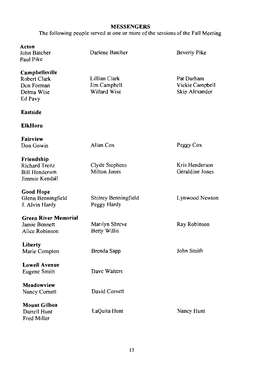# **MESSENGERS**

The following people served at one or more of the sessions of the Fall Meeting

| Acton<br>John Batcher<br>Paul Pike                                             | Darlene Batcher                               | Beverly Pike                                    |
|--------------------------------------------------------------------------------|-----------------------------------------------|-------------------------------------------------|
| Campbellsville<br>Robert Clark<br>Don Forman<br>Delma Wise<br>Ed Pavy          | Lillian Clark<br>Jim Campbell<br>Willard Wise | Pat Durham<br>Vickie Campbell<br>Skip Alexander |
| Eastside                                                                       |                                               |                                                 |
| <b>ElkHorn</b>                                                                 |                                               |                                                 |
| Fairview<br>Don Gowin                                                          | Allan Cox                                     | Peggy Cox                                       |
| Friendship<br><b>Richard Treitz</b><br><b>Bill Henderson</b><br>Jimmie Kendall | Clyde Stephens<br>Milton Jones                | Kris Henderson<br>Geraldine Jones               |
| <b>Good Hope</b><br>Glenn Benningfield<br>J. Alvin Hardy                       | Shilrey Benningfield<br>Peggy Hardy           | Lynwood Newton                                  |
| <b>Green River Memorial</b><br>Jamie Bennett<br>Alice Robinson                 | Marilyn Shreve<br>Betty Willis                | Ray Robinson                                    |
| Liberty<br>Marie Compton                                                       | Brenda Sapp                                   | John Smith                                      |
| <b>Lowell Avenue</b><br>Eugene Smith                                           | Dave Walters                                  |                                                 |
| Meadowview<br>Nancy Cornett                                                    | David Cornett                                 |                                                 |
| <b>Mount Gilboa</b><br>Darrell Hunt<br><b>Fred Miller</b>                      | LaQuita Hunt                                  | Nancy Hunt                                      |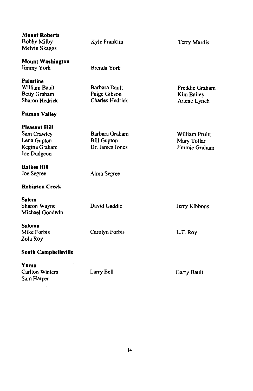| <b>Mount Roberts</b><br><b>Bobby Milby</b><br>Melvin Skaggs                          | Kyle Franklin                                           | Terry Mardis                                   |
|--------------------------------------------------------------------------------------|---------------------------------------------------------|------------------------------------------------|
| <b>Mount Washington</b><br>Jimmy York                                                | Brenda York                                             |                                                |
| Palestine<br>William Bault<br>Betty Graham<br>Sharon Hedrick<br><b>Pitman Valley</b> | Barbara Bault<br>Paige Gibson<br><b>Charles Hedrick</b> | Freddie Graham<br>Kim Bailey<br>Arlene Lynch   |
| <b>Pleasant Hill</b><br>Sam Crawley<br>Lena Gupton<br>Regina Graham<br>Joe Dudgeon   | Barbara Graham<br><b>Bill Gupton</b><br>Dr. James Jones | William Pruitt<br>Mary Tollar<br>Jimmie Graham |
| <b>Raikes Hill</b><br>Joe Segree                                                     | Alma Segree                                             |                                                |
| <b>Robinson Creek</b>                                                                |                                                         |                                                |
| Salem<br>Sharon Wayne<br>Michael Goodwin                                             | David Gaddie                                            | Jerry Kibbons                                  |
| Saloma<br>Mike Forbis<br>Zola Roy                                                    | Carolyn Forbis                                          | L.T. Roy                                       |
| <b>South Campbellsville</b>                                                          |                                                         |                                                |
| Yuma<br><b>Carlton Winters</b><br>Sam Harper                                         | Larry Bell                                              | Garry Bault                                    |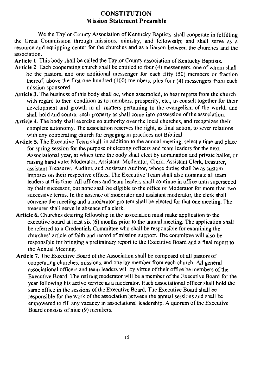# **CONSTITUTION Mission Statement Preamble**

We the Taylor County Association of Kentucky Baptists, shall cooperate in fulfilling the Great Commission through missions, ministry, and fellowship; and shall serve as a resource and equipping center for the churches and as a liaison between the churches and the association.

Article 1. This body shall be called the Taylor County association of Kentucky Baptists.

- Article 2. Each cooperating church shall be entitled to four (4) messengers, one of whom shall be the pastors, and one additional messenger for each fifty  $(50)$  members or fraction thereof, above the first one hundred  $(100)$  members, plus four  $(4)$  messengers from each mission sponsored.
- Article 3. The business of this body shall be, when assembled, to hear reports from the church with regard to their condition as to members, prosperity, etc., to consult together for their development and growth in all matters pertaining to the evangelism of the world, and shall hold and control such property as shall come into possession of the association.
- Article 4. The body shall exercise no authority over the local churches, and recognizes their complete autonomy. The association reserves the right, as final action, to sever relations with any cooperating church for engaging in practices not Biblical.
- Article 5. The Executive Team shall, in addition to the annual meeting, select a time and place for spring session for the purpose of electing officers and team leaders for the next Associational year, at which time the body shall elect by nomination and private ballot, or raising hand vote: Moderator, Assistant Moderator, Clerk, Assistant Clerk, treasurer, assistant Treasurer, Auditor, and Assistant Auditor, whose duties shall be as custom imposes on their respective offices. The Executive Team shall also nominate all team leaders at this time. All officers and team leaders shall continue in office until superseded by their successor, but none shall be eligible to the office of Moderator for more than two successive terms. In the absence of moderator and assistant moderator, the clerk shall convene the meeting and a moderator pro tem shall be elected for that one meeting. The treasurer shall serve in absence of a clerk.
- Article 6. Churches desiring fellowship in the association must make application to the executive board at least six  $(6)$  months prior to the annual meeting. The application shall be referred to a Credentials Committee who shall be responsible for examining the churches' article of faith and record of mission support. The committee will also be responsible for bringing a preliminary report to the Executive Board and a final report to the Annual Meeting.
- Article 7. The Executive Board of the Association shall be composed of all pastors of cooperating churches, missions, and one lay member from each church. All general associational officers and team leaders will by virtue of their office be members of the Executive Board. The retiring moderator will be a member of the Executive Board for the year following his active service as a moderator. Each associational officer shall hold the same office in the sessions of the Executive Board. The Executive Board shall be responsible for the work of the association between the annual sessions and shall be empowered to fill any vacancy in associational leadership. A quorum of the Executive Board consists of nine (9) members.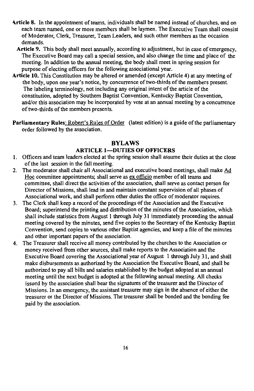- Article 8. In the appointment of teams, individuals shall be named instead of churches, and on each team named, one or more members shall be laymen. The Executive Team shall consist of Moderator, Clerk, Treasurer, Team Leaders, and such other members as the occasion demands.
	- Article 9. This body shall meet annually, according to adjustment, but in case of emergency. The Executive Board may call a special session, and also change the time and place of the meeting. In addition to the annual meeting, the body shall meet in spring session for purpose of electing officers for the following associational year.
- Article 10. This Constitution may be altered or amended (except Article 4) at any meeting of the body, upon one year's notice, by concurrence of two-thirds of the members present. The labeling terminology, not including any original intent of the article of the constitution, adopted by Southern Baptist Convention, Kentucky Baptist Convention, and/or this association may be incorporated by vote at an annual meeting by a concurrence of two-thirds of the members presents.
- Parliamentary Rules: Robert's Rules of Order (latest edition) is a guide of the parliamentary order followed by the association.

## **BYLAWS**

## **ARTICLE 1-DUTIES OF OFFICERS**

- 1. Officers and team leaders elected at the spring session shall assume their duties at the close of the last session in the fall meeting.
- The moderator shall chair all Associational and executive board meetings, shall make Ad  $2<sup>1</sup>$ Hoc committee appointments; shall serve as ex officio member of all teams and committee, shall direct the activities of the association, shall serve as contact person for Director of Missions, shall lead in and maintain constant supervision of all phases of Associational work, and shall perform other duties the office of moderator requires.
- The Clerk shall keep a record of the proceedings of the Association and the Executive  $3.$ Board; superintend the printing and distribution of the minutes of the Association, which shall include statistics from August 1 through July 31 immediately proceeding the annual meeting covered by the minutes, send five copies to the Secretary of the Kentucky Baptist Convention, send copies to various other Baptist agencies, and keep a file of the minutes and other important papers of the association.
- The Treasurer shall receive all money contributed by the churches to the Association or  $\mathbf{4}$ . money received from other sources, shall make reports to the Association and the Executive Board covering the Associational year of August 1 through July 31, and shall make disbursements as authorized by the Association the Executive Board, and shall be authorized to pay all bills and salaries established by the budget adopted at an annual meeting until the next budget is adopted at the following annual meeting. All checks issued by the association shall bear the signatures of the treasurer and the Director of Missions. In an emergency, the assistant treasurer may sign in the absence of either the treasurer or the Director of Missions. The treasurer shall be bonded and the bonding fee paid by the association.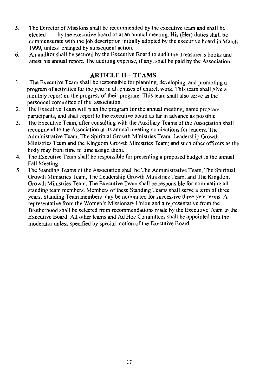- The Director of Missions shall be recommended by the executive team and shall be  $5<sub>1</sub>$ elected by the executive board or at an annual meeting. His (Her) duties shall be commensurate with the job description initially adopted by the executive board in March 1999, unless changed by subsequent action.
- An auditor shall be secured by the Executive Board to audit the Treasurer's books and 6. attest his annual report. The auditing expense, if any, shall be paid by the Association.

# **ARTICLE II-TEAMS**

- The Executive Team shall be responsible for planning, developing, and promoting a  $\mathbf{1}$ . program of activities for the year in all phases of church work. This team shall give a monthly report on the progress of their program. This team shall also serve as the personnel committee of the association.
- $2.$ The Executive Team will plan the program for the annual meeting, name program participants, and shall report to the executive board as far in advance as possible.
- The Executive Team, after consulting with the Auxiliary Teams of the Association shall  $3<sub>1</sub>$ recommend to the Association at its annual meeting nominations for leaders. The Administrative Team, The Spiritual Growth Ministries Team, Leadership Growth Ministries Team and the Kingdom Growth Ministries Team; and such other officers as the body may from time to time assign them.
- $4.$ The Executive Team shall be responsible for presenting a proposed budget in the annual Fall Meeting.
- The Standing Teams of the Association shall be The Administrative Team, The Spiritual 5. Growth Ministries Team, The Leadership Growth Ministries Team, and The Kingdom Growth Ministries Team. The Executive Team shall be responsible for nominating all standing team members. Members of these Standing Teams shall serve a term of three years. Standing Team members may be nominated for successive three-year terms. A representative from the Women's Missionary Union and a representative from the Brotherhood shall be selected from recommendations made by the Executive Team to the Executive Board. All other teams and Ad Hoc Committees shall be appointed thru the moderator unless specified by special motion of the Executive Board.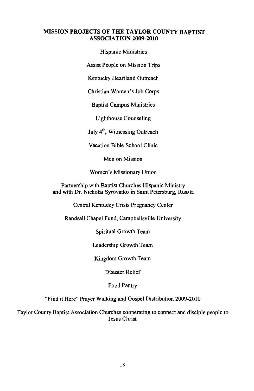#### **MISSION PROJECTS OF THE TAYLOR COUNTY BAPTIST** ASSOCIATION 2009-2010

**Hispanic Ministries** 

**Assist People on Mission Trips** 

Kentucky Heartland Outreach

Christian Women's Job Corps

**Baptist Campus Ministries** 

**Lighthouse Counseling** 

July 4<sup>th</sup>, Witnessing Outreach

Vacation Bible School Clinic

Men on Mission

Women's Missionary Union

Partnership with Baptist Churches Hispanic Ministry and with Dr. Nickolai Syrovatko in Saint Petersburg, Russia

Central Kentucky Crisis Pregnancy Center

Randsall Chapel Fund, Campbellsville University

Spiritual Growth Team

Leadership Growth Team

Kingdom Growth Team

Disaster Relief

Food Pantry

"Find it Here" Prayer Walking and Gospel Distribution 2009-2010

Taylor County Baptist Association Churches cooperating to connect and disciple people to **Jesus Christ**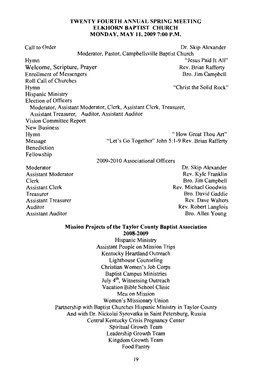#### TWENTY FOURTH ANNUAL SPRING MEETING **ELKHORN BAPTIST CHURCH MONDAY, MAY 11, 2009 7:00 P.M.**

Call to Order Dr. Skip Alexander Moderator, Pastor, Campbellsville Baptist Church "Jesus Paid It All" Hymn Welcome, Scripture, Prayer Rev. Brian Rafferty **Enrollment of Messengers** Bro. Jim Campbell Roll Call of Churches "Christ the Solid Rock" Hymn Hispanic Ministry Election of Officers Moderator, Assistant Moderator, Clerk, Assistant Clerk, Treasurer, Assistant Treasurer. Auditor, Assistant Auditor Vision Committee Report **New Business** "How Great Thou Art" Hvmn "Let's Go Together" John 5:1-9 Rev. Brian Rafferty Message **Renediction** Fellowship 2009-2010 Associational Officers Dr. Skip Alexander Moderator Rev. Kyle Franklin **Assistant Moderator** Bro. Jim Campbell Clerk Rev. Michael Goodwin **Assistant Clerk** Bro. David Gaddie Treasurer **Assistant Treasurer** Rev. Dave Walters

Rev. Robert Langlois Bro. Allen Young

#### **Mission Projects of the Taylor County Baptist Association**

Auditor

**Assistant Auditor** 

2008-2009 Hispanic Ministry **Assistant People on Mission Trips** Kentucky Heartland Outreach **Lighthouse Counseling** Christian Women's Job Corps **Baptist Campus Ministries** July 4<sup>th</sup>, Witnessing Outreach Vacation Bible School Clinic Men on Mission Women's Missionary Union Partnership with Baptist Churches Hispanic Ministry in Taylor County And with Dr. Nickolai Syrovatka in Saint Petersburg, Russia Central Kentucky Crisis Pregnancy Center Spiritual Growth Team Leadership Growth Team Kingdom Growth Team Food Pantry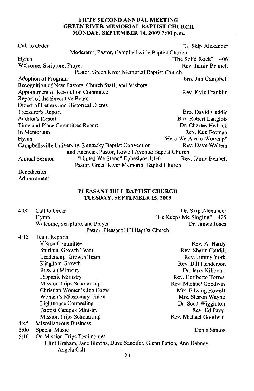## FIFTY SECOND ANNUAL MEETING **GREEN RIVER MEMORIAL BAPTIST CHURCH** MONDAY, SEPTEMBER 14, 2009 7:00 p.m.

| Call to Order                                          | Dr. Skip Alexander       |  |
|--------------------------------------------------------|--------------------------|--|
| Moderator, Pastor, Campbellsville Baptist Church       |                          |  |
| Hymn                                                   | "The Solid Rock" 406     |  |
| Welcome, Scripture, Prayer                             | Rev. Jamie Bennett       |  |
| Pastor, Green River Memorial Baptist Church            |                          |  |
| Adoption of Program                                    | Bro. Jim Campbell        |  |
| Recognition of New Pastors, Church Staff, and Visitors |                          |  |
| Appointment of Resolution Committee                    | Rev. Kyle Franklin       |  |
| Report of the Executive Board                          |                          |  |
| Digest of Letters and Historical Events                |                          |  |
| Treasurer's Report                                     | Bro. David Gaddie        |  |
| Auditor's Report                                       | Bro. Robert Langlois     |  |
| Time and Place Committee Report                        | Dr. Charles Hedrick      |  |
| In Memoriam                                            | Rev. Ken Forman          |  |
| Hymn                                                   | "Here We Are to Worship" |  |
| Campbellsville University, Kentucky Baptist Convention | Rev. Dave Walters        |  |
| and Agencies Pastor, Lowell Avenue Baptist Church      |                          |  |
| "United We Stand" Ephesians 4:1-6<br>Annual Sermon     | Rev. Jamie Bennett       |  |
| Pastor, Green River Memorial Baptist Church            |                          |  |
| Benediction                                            |                          |  |

Adjournment

## PLEASANT HILL BAPTIST CHURCH TUESDAY, SEPTEMBER 15, 2009

|                                     | 4:00 Call to Order             | Dr. Skip Alexander        |
|-------------------------------------|--------------------------------|---------------------------|
|                                     | Hymn                           | "He Keeps Me Singing" 425 |
|                                     | Welcome, Scripture, and Prayer | Dr. James Jones           |
| Pactor Pleasant Hill Rantist Church |                                |                           |

| 4:15 | Team Reports                                                         |                       |
|------|----------------------------------------------------------------------|-----------------------|
|      | <b>Vision Committee</b>                                              | Rev. Al Hardy         |
|      | Spiritual Growth Team                                                | Rev. Shaun Caudill    |
|      | Leadership Growth Team                                               | Rev. Jimmy York       |
|      | Kingdom Growth                                                       | Rev. Bill Henderson   |
|      | <b>Russian Ministry</b>                                              | Dr. Jerry Kibbons     |
|      | Hispanic Ministry                                                    | Rev. Heriberto Torres |
|      | Mission Trips Scholarship                                            | Rev. Michael Goodwin  |
|      | Christian Women's Job Corps                                          | Mrs. Edwing Rowell    |
|      | Women's Missionary Union                                             | Mrs. Sharon Wayne     |
|      | <b>Lighthouse Counseling</b>                                         | Dr. Scott Wigginton   |
|      | <b>Baptist Campus Ministry</b>                                       | Rev. Ed Pavy          |
|      | Mission Trips Scholarship                                            | Rev. Michael Goodwin  |
| 4:45 | Miscellaneous Business                                               |                       |
| 5:00 | Special Music                                                        | Denis Santos          |
| 5:10 | On Mission Trips Testimonies                                         |                       |
|      | Clint Graham, Jane Blevins, Dave Sandifer, Glenn Patton, Ann Dabney, |                       |
|      | Angela Call                                                          |                       |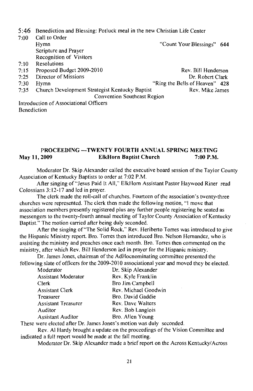5:46 Benediction and Blessing: Potluck meal in the new Christian Life Center

| 7:00 | Call to Order                                  |                                |
|------|------------------------------------------------|--------------------------------|
|      | Hymn                                           | "Count Your Blessings" 644     |
|      | Scripture and Prayer                           |                                |
|      | Recognition of Visitors                        |                                |
| 7:10 | Resolutions                                    |                                |
| 7:15 | Proposed Budget 2009-2010                      | Rev. Bill Henderson            |
| 7:25 | Director of Missions                           | Dr. Robert Clark               |
| 7:30 | Hymn                                           | "Ring the Bells of Heaven" 428 |
| 7:35 | Church Development Strategist Kentucky Baptist | Rev. Mike James                |
|      | Convention Southeast Region                    |                                |
|      | Introduction of Associational Officers         |                                |
|      | <b>Renediction</b>                             |                                |

PROCEEDING --- TWENTY FOURTH ANNUAL SPRING MEETING May 11, 2009 **ElkHorn Baptist Church** 7:00 P.M.

Moderator Dr. Skip Alexander called the executive board session of the Taylor County Association of Kentucky Baptists to order at 7:02 P.M.

After singing of "Jesus Paid It All," ElkHorn Assistant Pastor Haywood Riner read Colossians 3:12-17 and led in prayer.

The clerk made the roll-call of churches. Fourteen of the association's twenty-three churches were represented. The clerk then made the following motion, "I move that association members presently registered plus any further people registering be seated as messengers to the twenty-fourth annual meeting of Taylor County Association of Kentucky Baptist." The motion carried after being duly seconded.

After the singing of "The Solid Rock," Rev. Heriberto Torres was introduced to give the Hispanic Ministry report. Bro. Torres then introduced Bro. Nelson Hernandez, who is assisting the ministry and preaches once each month. Bro. Torres then commented on the ministry, after which Rev. Bill Henderson led in prayer for the Hispanic ministry.

Dr. James Jones, chairman of the AdHocnominating committee presented the following slate of officers for the 2009-2010 associational year and moved they be elected.

| Moderator           | Dr. Skip Alexander   |
|---------------------|----------------------|
| Assistant Moderator | Rev. Kyle Franklin   |
| Clerk               | Bro Jim Campbell     |
| Assistant Clerk     | Rev. Michael Goodwin |
| Treasurer           | Bro. David Gaddie    |
| Assistant Treasurer | Rev. Dave Walters    |
| Auditor             | Rev. Bob Langlois    |
| Assistant Auditor   | Bro. Allen Young     |
|                     |                      |

These were elected after Dr. James Jones's motion was duly seconded.

Rev. Al Hardy brought a update on the proceedings of the Vision Committee and indicated a full report would be made at the fall meeting.

Moderator Dr. Skip Alexander made a brief report on the Across Kentucky/Across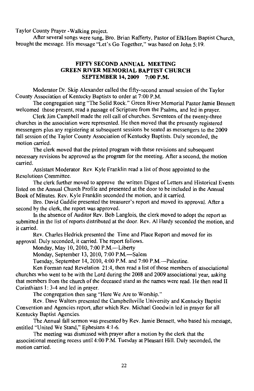Taylor County Prayer - Walking project.

After several songs were sung, Bro. Brian Rafferty, Pastor of ElkHorn Baptist Church. brought the message. His message "Let's Go Together," was based on John 5:19.

#### FIFTY SECOND ANNUAL MEETING **GREEN RIVER MEMORIAL BAPTIST CHURCH** SEPTEMBER 14, 2009 7:00 P.M.

Moderator Dr. Skip Alexander called the fifty-second annual session of the Taylor County Association of Kentucky Baptists to order at 7:00 P.M.

The congregation sang "The Solid Rock." Green River Memorial Pastor Jamie Bennett welcomed those present, read a passage of Scripture from the Psalms, and led in prayer.

Clerk Jim Campbell made the roll call of churches. Seventeen of the twenty-three churches in the association were represented. He then moved that the presently registered messengers plus any registering at subsequent sessions be seated as messengers to the 2009 fall session of the Taylor County Association of Kentucky Baptists. Duly seconded, the motion carried.

The clerk moved that the printed program with these revisions and subsequent necessary revisions be approved as the program for the meeting. After a second, the motion carried.

Assistant Moderator Rev. Kyle Franklin read a list of those appointed to the **Resolutions Committee.** 

The clerk further moved to approve the written Digest of Letters and Historical Events listed on the Annual Church Profile and presented at the door to be included in the Annual Book of Minutes. Rev. Kyle Franklin seconded the motion, and it carried.

Bro. David Gaddie presented the treasurer's report and moved its approval. After a second by the clerk, the report was approved.

In the absence of Auditor Rev. Bob Langlois, the clerk moved to adopt the report as submitted in the list of reports distributed at the door. Rev. Al Hardy seconded the motion, and it carried.

Rev. Charles Hedrick presented the Time and Place Report and moved for its approval. Duly seconded, it carried. The report follows.

Monday, May 10, 2010, 7:00 P.M.-Liberty

Monday, September 13, 2010, 7:00 P.M.-Salem

Tuesday, September 14, 2010, 4:00 P.M. and 7:00 P.M.—Palestine.

Ken Forman read Revelation 21:4, then read a list of those members of associational churches who went to be with the Lord during the 2008 and 2009 associational year, asking that members from the church of the deceased stand as the names were read. He then read II Corinthians 1:3-4 and led in praver.

The congregation then sang "Here We Are to Worship."

Rev. Dave Walters presented the Campbellsville University and Kentucky Baptist Convention and Agencies report, after which Rev. Michael Goodwin led in prayer for all Kentucky Baptist Agencies.

The Annual fall sermon was presented by Rev. Jamie Bennett, who based his message, entitled "United We Stand," Ephesians 4:1-6.

The meeting was dismissed with prayer after a motion by the clerk that the associational meeting recess until 4:00 P.M. Tuesday at Pleasant Hill. Duly seconded, the motion carried.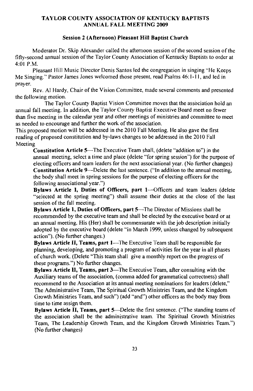#### **TAYLOR COUNTY ASSOCIATION OF KENTUCKY BAPTISTS ANNUAL FALL MEETING 2009**

#### Session 2 (Afternoon) Pleasant Hill Baptist Church

Moderator Dr. Skip Alexander called the afternoon session of the second session of the fifty-second annual session of the Taylor County Association of Kentucky Baptists to order at 4:01 P.M.

Pleasant Hill Music Director Denis Santos led the congregation in singing "He Keeps" Me Singing." Pastor James Jones welcomed those present, read Psalms 46:1-11, and led in prayer.

Rev. Al Hardy, Chair of the Vision Committee, made several comments and presented the following motion.

The Taylor County Baptist Vision Committee moves that the association hold an annual fall meeting. In addition, the Taylor County Baptist Executive Board meet no fewer than five meeting in the calendar year and other meetings of ministries and committee to meet as needed to encourage and further the work of the association.

This proposed motion will be addressed in the 2010 Fall Meeting. He also gave the first reading of proposed constitution and by-laws changes to be addressed in the 2010 Fall Meeting

Constitution Article 5—The Executive Team shall, (delete "addition to") in the annual meeting, select a time and place (delete "for spring session") for the purpose of electing officers and team leaders for the next associational year. (No further changes) Constitution Article 9—Delete the last sentence. ("In addition to the annual meeting, the body shall meet in spring sessions for the purpose of electing officers for the following associational year.")

Bylaws Article I, Duties of Officers, part 1-Officers and team leaders (delete "selected at the spring meeting") shall assume their duties at the close of the last session of the fall meeting.

Bylaws Article 1, Duties of Officers, part 5-The Director of Missions shall be recommended by the executive team and shall be elected by the executive board or at an annual meeting. His (Her) shall be commensurate with the job description initially adopted by the executive board (delete "in March 1999, unless changed by subsequent action"). (No further changes.)

Bylaws Article II, Teams, part 1—The Executive Team shall be responsible for planning, developing, and promoting a program of activities for the year in all phases of church work. (Delete "This team shall give a monthly report on the progress of these programs.") No further changes.

Bylaws Article II, Teams, part 3—The Executive Team, after consulting with the Auxiliary teams of the association, (comma added for grammatical correctness) shall recommend to the Association at its annual meeting nominations for leaders (delete," The Administrative Team, The Spiritual Growth Ministries Team, and the Kingdom Growth Ministries Team, and such") (add "and") other officers as the body may from time to time assign them.

Bylaws Article II, Teams, part 5—Delete the first sentence. ("The standing teams of the association shall be the administrative team. The Spiritual Growth Ministries Team, The Leadership Growth Team, and the Kingdom Growth Ministries Team.") (No further changes)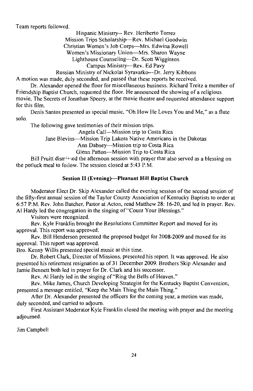Team reports followed.

Hispanic Ministry-- Rev. Heriberto Torrez

Mission Trips Scholarship-Rev. Michael Goodwin

Christian Women's Job Corps-Mrs. Edwina Rowell

Women's Missionary Union-Mrs. Sharon Wayne

Lighthouse Counseling—Dr. Scott Wigginton

Campus Ministry-Rev. Ed Pavy

Russian Ministry of Nickolai Syravatko---Dr. Jerry Kibbons

A motion was made, duly seconded, and passed that these reports be received.

Dr. Alexander opened the floor for miscellaneous business. Richard Treitz a member of Friendship Baptist Church, requested the floor. He announced the showing of a religious movie, The Secrets of Jonathan Speery, at the movie theatre and requested attendance support for this film.

Denis Santos presented as special music, "Oh How He Loves You and Me," as a flute solo.

The following gave testimonies of their mission trips.

Angela Call—Mission trip to Costa Rica

Jane Blevins-Mission Trip Lakota Native Americans in the Dakotas

Ann Dabney-Mission trip to Costa Rica

Glenn Patton-Mission Trip to Costa Rica

Bill Pruitt dismissed the afternoon session with prayer that also served as a blessing on the potluck meal to foilow. The session closed at 5:43 P.M.

# Session II (Evening)-Pleasant Hill Baptist Church

Moderator Elect Dr. Skip Alexander called the evening session of the second session of the fifty-first annual session of the Taylor County Association of Kentucky Baptists to order at 6:57 P.M. Rev. John Batcher, Pastor at Acton, read Matthew 28: 16-20, and led in prayer. Rev. Al Hardy led the congregation in the singing of "Count Your Blessings."

Visitors were recognized.

Rev. Kyle Franklin brought the Resolutions Committee Report and moved for its approval. This report was approved.

Rev. Bill Henderson presented the proposed budget for 2008-2009 and moved for its approval. This report was approved.

Bro. Kenny Willis presented special music at this time.

Dr. Robert Clark, Director of Missions, presented his report. It was approved. He also presented his retirement resignation as of 31 December 2009. Brothers Skip Alexander and Jamie Bennett both led in prayer for Dr. Clark and his successor.

Rev. Al Hardy led in the singing of "Ring the Bells of Heaven."

Rev. Mike James, Church Developing Strategist for the Kentucky Baptist Convention, presented a message entitled, "Keep the Main Thing the Main Thing."

After Dr. Alexander presented the officers for the coming year, a motion was made, duly seconded, and carried to adjourn.

First Assistant Moderator Kyle Franklin closed the meeting with prayer and the meeting adjourned.

Jim Campbell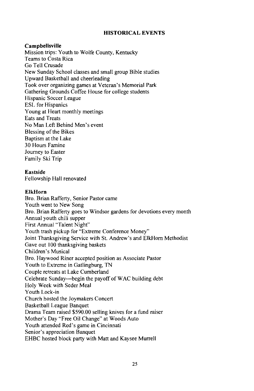#### **HISTORICAL EVENTS**

#### Campbellsville

Mission trips: Youth to Wolfe County, Kentucky Teams to Costa Rica Go Tell Crusade New Sunday School classes and small group Bible studies Upward Basketball and cheerleading Took over organizing games at Veteran's Memorial Park Gathering Grounds Coffee House for college students Hispanic Soccer League **ESL** for Hispanics Young at Heart monthly meetings **Eats and Treats** No Man Left Behind Men's event **Blessing of the Bikes** Baptism at the Lake 30 Hours Famine Journey to Easter Family Ski Trip

#### Eastside

Fellowship Hall renovated

#### **ElkHorn**

Bro. Brian Rafferty, Senior Pastor came Youth went to New Song Bro. Brian Rafferty goes to Windsor gardens for devotions every month Annual youth chili supper First Annual "Talent Night" Youth trash pickup for "Extreme Conference Money" Joint Thanksgiving Service with St. Andrew's and ElkHorn Methodist Gave out 100 thanksgiving baskets Children's Musical Bro. Haywood Riner accepted position as Associate Pastor Youth to Extreme in Gatlingburg, TN Couple retreats at Lake Cumberland Celebrate Sunday—begin the payoff of WAC building debt Holy Week with Seder Meal Youth Lock-in Church hosted the Joymakers Concert **Basketball League Banquet** Drama Team raised \$590.00 selling knives for a fund raiser Mother's Day "Free Oil Change" at Woods Auto Youth attended Red's game in Cincinnati Senior's appreciation Banquet EHBC hosted block party with Matt and Kaysee Murrell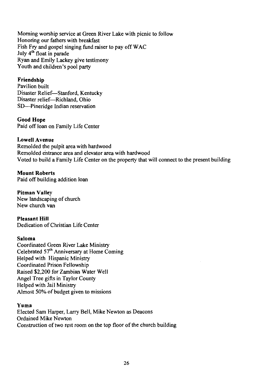Morning worship service at Green River Lake with picnic to follow Honoring our fathers with breakfast Fish Fry and gospel singing fund raiser to pay off WAC July 4<sup>th</sup> float in parade Ryan and Emily Lackey give testimony Youth and children's pool party

## Friendship

Pavilion built Disaster Relief-Stanford, Kentucky Disaster relief-Richland, Ohio SD—Pineridge Indian reservation

## **Good Hope**

Paid off loan on Family Life Center

## **Lowell Avenue**

Remolded the pulpit area with hardwood Remolded entrance area and elevator area with hardwood Voted to build a Family Life Center on the property that will connect to the present building

**Mount Roberts** Paid off building addition loan

**Pitman Valley** New landscaping of church New church van

**Pleasant Hill** Dedication of Christian Life Center

#### Saloma

Coordinated Green River Lake Ministry Celebrated 57<sup>th</sup> Anniversary at Home Coming Helped with Hispanic Ministry Coordinated Prison Fellowship Raised \$2,200 for Zambian Water Well Angel Tree gifts in Taylor County Helped with Jail Ministry Almost 50% of budget given to missions

## Yuma

Elected Sam Harper, Larry Bell, Mike Newton as Deacons Ordained Mike Newton Construction of two rest room on the top floor of the church building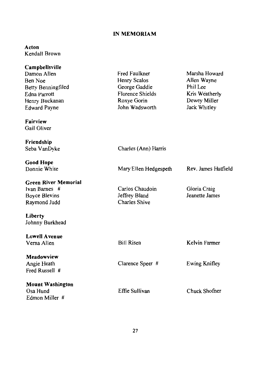# IN MEMORIAM

# Acton Kendall Brown

| Campbellsville              |                         |                       |
|-----------------------------|-------------------------|-----------------------|
| Damon Allen                 | Fred Faulkner           | Marsha Howard         |
| Ben Noe                     | Henry Scalos            | Allen Wayne           |
| Betty Benningfiled          | George Gaddie           | Phil Lee              |
| Edna Parrott                | <b>Florence Shields</b> | Kris Weatherly        |
| Henry Buckanan              | Roxye Gorin             | Dewey Miller          |
| Edward Payne                | John Wadsworth          | Jack Whitley          |
| Fairview                    |                         |                       |
| Gail Oliver                 |                         |                       |
| Friendship                  |                         |                       |
| Seba VanDyke                | Charles (Ann) Harris    |                       |
| <b>Good Hope</b>            |                         |                       |
| Donnie White                | Mary Ellen Hedgespeth   | Rev. James Hatfield   |
| <b>Green River Memorial</b> |                         |                       |
| Ivan Barnes #               | Carlos Chaudoin         | Gloria Craig          |
| <b>Boyce Blevins</b>        | Jeffrey Bland           | <b>Jeanette James</b> |
| Raymond Judd                | <b>Charles Shive</b>    |                       |
| Liberty                     |                         |                       |
| Johnny Burkhead             |                         |                       |
| <b>Lowell Avenue</b>        |                         |                       |
| Verna Allen                 | <b>Bill Risen</b>       | Kelvin Farmer         |
| Meadowview                  |                         |                       |
| Angie Heath                 | Clarence Speer #        | Ewing Knifley         |
| Fred Russell #              |                         |                       |
| <b>Mount Washington</b>     |                         |                       |
| Osa Hund                    | Effie Sullivan          | Chuck Shofner         |
| Edmon Miller #              |                         |                       |
|                             |                         |                       |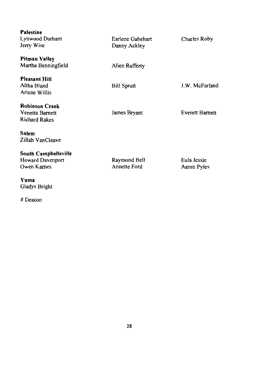| <b>Palestine</b>      |                    |                 |
|-----------------------|--------------------|-----------------|
| Lynwood Durham        | Earlene Gabehart   | Charles Roby    |
| Jerry Wise            | Danny Ackley       |                 |
|                       |                    |                 |
| Pitman Valley         |                    |                 |
| Martha Benningfield   | Alien Rafferty     |                 |
|                       |                    |                 |
| <b>Pleasant Hill</b>  |                    |                 |
| Altha Bland           | <b>Bill Spratt</b> | J.W. McFarland  |
| Arlene Willis         |                    |                 |
|                       |                    |                 |
| <b>Robinson Creek</b> |                    |                 |
| Venetta Barnett       | James Bryant       | Everett Barnett |
| <b>Richard Rakes</b>  |                    |                 |
|                       |                    |                 |
| Salem                 |                    |                 |
| Zillah VanCleave      |                    |                 |
| South Campbellsville  |                    |                 |
| Howard Davenport      | Raymond Bell       | Eula Jessie     |
| Owen Karnes           | Annette Ford       | Aaron Pyles     |
|                       |                    |                 |
| Yuma                  |                    |                 |
| Gladys Bright         |                    |                 |

# Deacon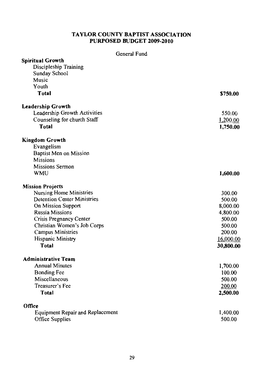# **TAYLOR COUNTY BAPTIST ASSOCIATION** PURPOSED BUDGET 2009-2010

## General Fund

| <b>Spiritual Growth</b>                 |           |
|-----------------------------------------|-----------|
| Discipleship Training                   |           |
| Sunday School                           |           |
| Music                                   |           |
| Youth                                   |           |
| Total                                   | \$750.00  |
| <b>Leadership Growth</b>                |           |
| Leadership Growth Activities            | 550.00    |
| Counseling for church Staff             | 1,200.00  |
| Total                                   | 1,750.00  |
| <b>Kingdom Growth</b>                   |           |
| Evangelism                              |           |
| Baptist Men on Mission                  |           |
| <b>Missions</b>                         |           |
| <b>Missions Sermon</b>                  |           |
| <b>WMU</b>                              | 1,600.00  |
| <b>Mission Projects</b>                 |           |
| Nursing Home Ministries                 | 300.00    |
| <b>Detention Center Ministries</b>      | 500.00    |
| On Mission Support                      | 8,000.00  |
| <b>Russia Missions</b>                  | 4,800.00  |
| Crisis Pregnancy Center                 | 500.00    |
| Christian Women's Job Corps             | 500.00    |
| Campus Ministries                       | 200.00    |
| Hispanic Ministry                       | 16,000.00 |
| Total                                   | 30,800.00 |
| <b>Administrative Team</b>              |           |
| <b>Annual Minutes</b>                   | 1,700.00  |
| <b>Bonding Fee</b>                      | 100.00    |
| Miscellaneous                           | 500.00    |
| Treasurer's Fee                         | 200.00    |
| Total                                   | 2,500.00  |
| Office                                  |           |
| <b>Equipment Repair and Replacement</b> | 1,400.00  |
| Office Supplies                         | 500.00    |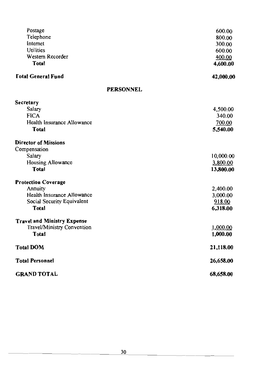| Postage                                 | 600.00    |
|-----------------------------------------|-----------|
| Telephone                               | 800.00    |
| Internet                                | 300.00    |
| Utilities                               | 600.00    |
| Western Recorder                        | 400.00    |
| Total                                   | 4,600.00  |
| <b><i><u>Total General Fund</u></i></b> | 42,000.00 |
| <b>PERSONNEL</b>                        |           |
| Secretary                               |           |
| Salary                                  | 4,500.00  |
| <b>FICA</b>                             | 340.00    |
| Health Insurance Allowance              | 700.00    |
| <b>Total</b>                            | 5,540.00  |
| <b>Director of Missions</b>             |           |
| Compensation                            |           |
| Salary                                  | 10,000.00 |
| Housing Allowance                       | 3,800.00  |
| <b>Total</b>                            | 13,800.00 |
| <b>Protection Coverage</b>              |           |
| Annuity                                 | 2,400.00  |
| Health Insurance Allowance              | 3,000.00  |
| Social Security Equivalent              | 918.00    |
| Total                                   | 6,318.00  |
| <b>Travel and Ministry Expense</b>      |           |
| Travel/Ministry Convention              | 1,000.00  |
| Total                                   | 1,000.00  |
| <b>Total DOM</b>                        | 21,118.00 |
| <b>Total Personnel</b>                  | 26,658.00 |
| <b>GRAND TOTAL</b>                      | 68,658.00 |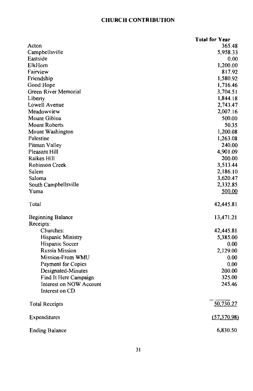# **CHURCH CONTRIBUTION**

|                          | <b>Total for Year</b> |
|--------------------------|-----------------------|
| Acton                    | 365.48                |
| Campbellsville           | 5,958.33              |
| Eastside                 | 0.00                  |
| ElkHorn                  | 1,200.00              |
| Fairview                 | 817.92                |
| Friendship               | 1,580.92              |
| Good Hope                | 1,716.46              |
| Green River Memorial     | 3,704.51              |
| Liberty                  | 1,844.18              |
| Lowell Avenue            | 2,743.47              |
| Meadowview               | 2,007.16              |
| Mount Gibloa             | 500.00                |
| <b>Mount Roberts</b>     | 50.35                 |
| Mount Washington         | 1,200.08              |
| Palestine                | 1,263.08              |
| Pitman Valley            | 240.00                |
| Pleasant Hill            | 4,901.09              |
| Raikes Hill              | 200.00                |
| Robinson Creek           | 3,513.44              |
| Salem                    | 2,186.10              |
| Saloma                   | 3,620.47              |
| South Campbellsville     | 2,332.85              |
| Yuma                     | 500.00                |
| Total                    | 42,445.81             |
| <b>Beginning Balance</b> | 13,471.21             |
| Receipts:                |                       |
| Churches:                | 42,445.81             |
| Hispanic Ministry        | 5,385.00              |
| Hispanic Soccer          | 0.00                  |
| <b>Russia Mission</b>    | 2,129.00              |
| Mission-From WMU         | 0.00                  |
| Payment for Copies       | 0.00                  |
| Designated-Minutes       | 200.00                |
| Find It Here Campaign    | 325.00                |
| Interest on NOW Account  | 245.46                |
| Interest on CD           |                       |
| <b>Total Receipts</b>    | 50,730.27             |
| Expenditures             | (57,370.98)           |
| <b>Ending Balance</b>    | 6,830.50              |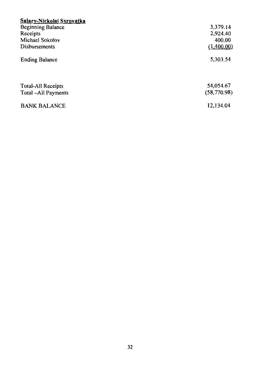| Salary-Nickolai Syrovatka |             |
|---------------------------|-------------|
| <b>Beginning Balance</b>  | 3,379.14    |
| Receipts                  | 2,924.40    |
| Michael Sokolov           | 400.00      |
| <b>Disbursements</b>      | (1,400.00)  |
| <b>Ending Balance</b>     | 5,303.54    |
| <b>Total-All Receipts</b> | 54,054.67   |
| Total -All Payments       | (58,770.98) |
| <b>BANK BALANCE</b>       | 12,134.04   |
|                           |             |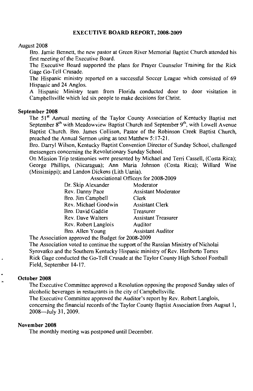#### **EXECUTIVE BOARD REPORT, 2008-2009**

#### August 2008

Bro. Jamie Bennett, the new pastor at Green River Memorial Baptist Church attended his first meeting of the Executive Board.

The Executive Board supported the plans for Prayer Counselor Training for the Rick Gage Go-Tell Crusade.

The Hispanic ministry reported on a successful Soccer League which consisted of 69 Hispanic and 24 Anglos.

A Hispanic Ministry team from Florida conducted door to door visitation in Campbellsville which led six people to make decisions for Christ.

#### September 2008

The 51<sup>st</sup> Annual meeting of the Taylor County Association of Kentucky Baptist met September 8<sup>th</sup> with Meadowview Baptist Church and September 9<sup>th</sup>, with Lowell Avenue Baptist Church. Bro. James Collison, Pastor of the Robinson Creek Baptist Church, preached the Annual Sermon using as text Matthew 5:17-21.

Bro. Darryl Wilson, Kentucky Baptist Convention Director of Sunday School, challenged messengers concerning the Revolutionary Sunday School.

On Mission Trip testimonies were presented by Michael and Terri Cassell, (Costa Rica); George Phillips, (Nicaragua); Ann Maria Johnson (Costa Rica); Willard Wise (Mississippi); and Landon Dickens (Lith Uania).

Associational Officers for 2008-2009

| Dr. Skip Alexander   | Moderator                  |
|----------------------|----------------------------|
| Rev. Danny Pace      | <b>Assistant Moderator</b> |
| Bro. Jim Campbell    | Clerk                      |
| Rev. Michael Goodwin | <b>Assistant Clerk</b>     |
| Bro. David Gaddie    | Treasurer                  |
| Rev. Dave Walters    | <b>Assistant Treasurer</b> |
| Rev. Robert Langlois | Auditor                    |
| Bro. Allen Young     | <b>Assistant Auditor</b>   |
|                      |                            |

The Association approved the Budget for 2008-2009

The Association voted to continue the support of the Russian Ministry of Nicholai Syrovatko and the Southern Kentucky Hispanic ministry of Rev. Heriberto Torres Rick Gage conducted the Go-Tell Crusade at the Taylor County High School Football Field, September 14-17.

#### October 2008

The Executive Committee approved a Resolution opposing the proposed Sunday sales of alcoholic beverages in restaurants in the city of Campbellsville. The Executive Committee approved the Auditor's report by Rev. Robert Langlois,

concerning the financial records of the Taylor County Baptist Association from Augsut 1, 2008-July 31, 2009.

#### November 2008

The monthly meeting was postponed until December.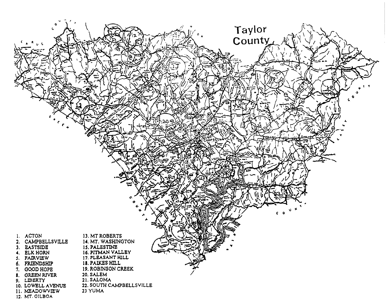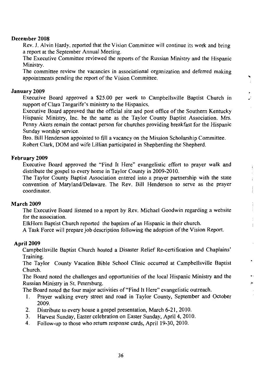#### December 2008

Rev. J. Alvin Hardy, reported that the Vision Committee will continue its work and bring a report at the September Annual Meeting.

The Executive Committee reviewed the reports of the Russian Ministry and the Hispanic Ministry.

The committee review the vacancies in associational organization and deferred making appointments pending the report of the Vision Committee.

٠  $\frac{1}{2}$ 

 $\frac{1}{4}$ 

 $\overline{1}$ 

×

#### January 2009

Executive Board approved a \$25.00 per week to Campbellsville Baptist Church in support of Clara Tangarife's ministry to the Hispanics.

Executive Board approved that the official site and post office of the Southern Kentucky Hispanic Ministry, Inc. be the same as the Taylor County Baptist Association. Mrs. Penny Akers remain the contact person for churches providing breakfast for the Hispanic Sunday worship service.

Bro. Bill Henderson appointed to fill a vacancy on the Mission Scholarship Committee. Robert Clark, DOM and wife Lillian participated in Shepherding the Shepherd.

#### February 2009

Executive Board approved the "Find It Here" evangelistic effort to prayer walk and distribute the gospel to every home in Taylor County in 2009-2010.

The Taylor County Baptist Association entered into a prayer partnership with the state convention of Maryland/Delaware. The Rev. Bill Henderson to serve as the prayer coordinator.

#### **March 2009**

The Executive Board listened to a report by Rev. Michael Goodwin regarding a website for the association.

ElkHorn Baptist Church reported the baptism of an Hispanic in their church.

A Task Force will prepare job description following the adoption of the Vision Report.

#### **April 2009**

Campbellsville Baptist Church hosted a Disaster Relief Re-certification and Chaplains' Training.

The Taylor County Vacation Bible School Clinic occurred at Campbellsville Baptist Church.

The Board noted the challenges and opportunities of the local Hispanic Ministry and the Russian Ministry in St. Petersburg.

The Board noted the four major activities of "Find It Here" evangelistic outreach.

- Prayer walking every street and road in Taylor County, September and October 1. 2009.
- $2.$ Distribute to every house a gospel presentation, March 6-21, 2010.
- Harvest Sunday, Easter celebration on Easter Sunday, April 4, 2010. 3.
- Follow-up to those who return response cards, April 19-30, 2010. 4.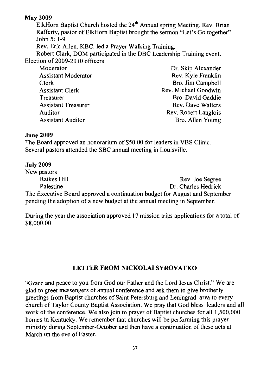# **May 2009**

ElkHorn Baptist Church hosted the  $24<sup>th</sup>$  Annual spring Meeting, Rev. Brian Rafferty, pastor of ElkHorn Baptist brought the sermon "Let's Go together" John 5: 1-9

Rev. Eric Allen, KBC, led a Prayer Walking Training.

Robert Clark, DOM participated in the DBC Leadership Training event. Election of 2009-2010 officers

Moderator **Assistant Moderator** Clerk **Assistant Clerk** Treasurer **Assistant Treasurer** Auditor **Assistant Auditor** 

Dr. Skip Alexander Rev. Kyle Franklin Bro. Jim Campbell Rev. Michael Goodwin Bro. David Gaddie **Rev. Dave Walters** Rev. Robert Langlois Bro. Allen Young

## **June 2009**

The Board approved an honorarium of \$50.00 for leaders in VBS Clinic. Several pastors attended the SBC annual meeting in Louisville.

# **July 2009**

New pastors **Raikes Hill** Rev. Joe Segree Dr. Charles Hedrick Palestine The Executive Board approved a continuation budget for August and September pending the adoption of a new budget at the annual meeting in September.

During the year the association approved 17 mission trips applications for a total of \$8,000.00

# **LETTER FROM NICKOLAI SYROVATKO**

"Grace and peace to you from God our Father and the Lord Jesus Christ." We are glad to greet messengers of annual conference and ask them to give brotherly greetings from Baptist churches of Saint Petersburg and Leningrad area to every church of Taylor County Baptist Association. We pray that God bless leaders and all work of the conference. We also join to prayer of Baptist churches for all 1,500,000 homes in Kentucky. We remember that churches will be performing this prayer ministry during September-October and then have a continuation of these acts at March on the eve of Easter.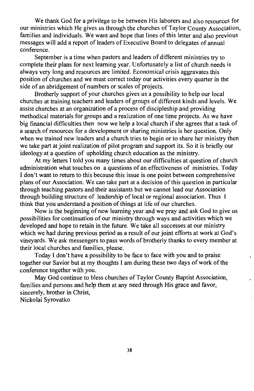We thank God for a privilege to be between His laborers and also resources for our ministries which He gives us through the churches of Taylor County Association, families and individuals. We want and hope that lines of this letter and also previous messages will add a report of leaders of Executive Board to delegates of annual conference

September is a time when pastors and leaders of different ministries try to complete their plans for next learning year. Unfortunately a list of church needs is always very long and resources are limited. Economical crisis aggravates this position of churches and we must correct today our activities every quarter in the side of an abridgement of numbers or scales of projects.

Brotherly support of your churches gives us a possibility to help our local churches at training teachers and leaders of groups of different kinds and levels. We assist churches at an organization of a process of discipleship and providing methodical materials for groups and a realization of one time projects. As we have big financial difficulties then now we help a local church if she agrees that a task of a search of resources for a development or sharing ministries is her question. Only when we trained new leaders and a church tries to begin or to share her ministry then we take part at joint realization of pilot program and support its. So it is briefly our ideology at a question of upholding church education as the ministry.

At my letters I told you many times about our difficulties at question of church administration what touches on a questions of an effectiveness of ministries. Today I don't want to return to this because this issue is one point between comprehensive plans of our Association. We can take part at a decision of this question in particular through teaching pastors and their assistants but we cannot lead our Association through building structure of leadership of local or regional association. Thus I think that you understand a position of things at life of our churches.

Now is the beginning of new learning year and we pray and ask God to give us possibilities for continuation of our ministry through ways and activities which we developed and hope to retain in the future. We take all successes at our ministry which we had during previous period as a result of our joint efforts at work at God's vineyards. We ask messengers to pass words of brotherly thanks to every member at their local churches and families, please.

Today I don't have a possibility to be face to face with you and to praise together our Savior but at my thoughts I am during these two days of work of the conference together with you.

May God continue to bless churches of Taylor County Baptist Association, families and persons and help them at any need through His grace and favor, sincerely, brother in Christ, Nickolai Syrovatko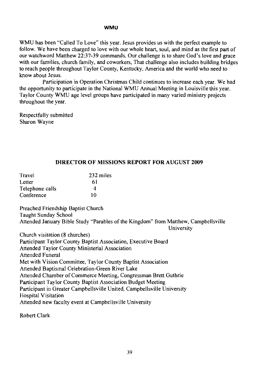#### **WMU**

WMU has been "Called To Love" this year. Jesus provides us with the perfect example to follow. We have been charged to love with our whole heart, soul, and mind as the first part of our watchword Matthew 22:37-39 commands. Our challenge is to share God's love and grace with our families, church family, and coworkers, That challenge also includes building bridges to reach people throughout Taylor County, Kentucky, America and the world who need to know about Jesus.

Participation in Operation Christmas Child continues to increase each year. We had the opportunity to participate in the National WMU Annual Meeting in Louisville this year. Taylor County WMU age level groups have participated in many varied ministry projects throughout the year.

Respectfully submitted Sharon Wayne

# DIRECTOR OF MISSIONS REPORT FOR AUGUST 2009

| Travel          | 232 miles |
|-----------------|-----------|
| Letter          | 61        |
| Telephone calls | 4         |
| Conference      | 10        |

Preached Friendship Baptist Church Taught Sunday School Attended January Bible Study "Parables of the Kingdom" from Matthew, Campbellsville

University

Church visitation (8 churches) Participant Taylor County Baptist Association, Executive Board Attended Taylor County Ministerial Association **Attended Funeral** Met with Vision Committee, Taylor County Baptist Association Attended Baptismal Celebration-Green River Lake Attended Chamber of Commerce Meeting, Congressman Brett Guthrie Participant Taylor County Baptist Association Budget Meeting Participant in Greater Campbellsville United, Campbellsville University Hospital Visitation Attended new faculty event at Campbellsville University

Robert Clark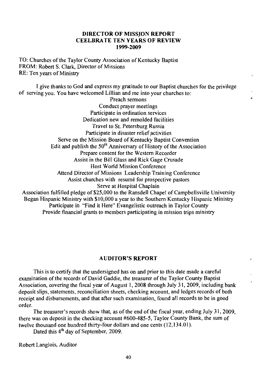#### **DIRECTOR OF MISSION REPORT CEELBRATE TEN YEARS OF REVIEW** 1999-2009

TO: Churches of the Taylor County Association of Kentucky Baptist FROM: Robert S. Clark, Director of Missions RE: Ten years of Ministry

I give thanks to God and express my gratitude to our Baptist churches for the privilege of serving you. You have welcomed Lillian and me into your churches to:

Preach sermons Conduct prayer meetings Participate in ordination services Dedication new and remolded facilities Travel to St. Petersburg Russia Participate in disaster relief activities Serve on the Mission Board of Kentucky Baptist Convention Edit and publish the  $50<sup>th</sup>$  Anniversary of History of the Association Prepare content for the Western Recorder Assist in the Bill Glass and Rick Gage Crusade **Host World Mission Conference** Attend Director of Missions Leadership Training Conference Assist churches with resumé for prospective pastors Serve at Hospital Chaplain Association fulfilled pledge of \$25,000 to the Ransdell Chapel of Campbellsville University Began Hispanic Ministry with \$10,000 a year to the Southern Kentucky Hispanic Ministry Participate in "Find it Here" Evangelistic outreach in Taylor County

Provide financial grants to members participating in mission trips ministry

#### **AUDITOR'S REPORT**

This is to certify that the undersigned has on and prior to this date made a careful examination of the records of David Gaddie, the treasurer of the Taylor County Baptist Association, covering the fiscal year of August 1, 2008 through July 31, 2009, including bank deposit slips, statements, reconciliation sheets, checking account, and ledges records of both receipt and disbursements, and that after such examination, found all records to be in good order.

The treasurer's records show that, as of the end of the fiscal year, ending July 31, 2009, there was on deposit in the checking account #600-485-5, Taylor County Bank, the sum of twelve thousand one hundred thirty-four dollars and one cents (12,134.01).

Dated this 4<sup>th</sup> day of September, 2009.

Robert Langlois, Auditor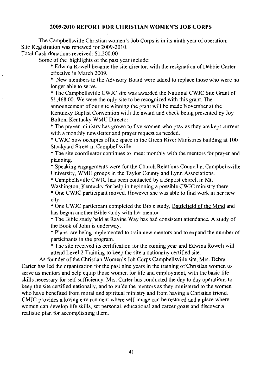#### 2009-2010 REPORT FOR CHRISTIAN WOMEN'S JOB CORPS

The Campbellsville Christian women's Job Corps is in its ninth year of operation. Site Registration was renewed for 2009-2010.

Total Cash donations received: \$1,200.00

Some of the highlights of the past year include:

\* Edwina Rowell became the site director, with the resignation of Debbie Carter effective in March 2009.

\* New members to the Advisory Board were added to replace those who were no longer able to serve.

\* The Campbellsville CWJC site was awarded the National CWJC Site Grant of \$1,468.00. We were the only site to be recognized with this grant. The announcement of our site winning the grant will be made November at the Kentucky Baptist Convention with the award and check being presented by Joy Bolton, Kentucky WMU Director.

\* The prayer ministry has grown to five women who pray as they are kept current with a monthly newsletter and prayer request as needed.

\* CWJC now occupies office space in the Green River Ministries building at 100 Stockyard Street in Campbellsville.

\* The site coordinator continues to meet monthly with the mentors for prayer and planning.

\* Speaking engagements were for the Church Relations Council at Campbells ville University, WMU groups in the Taylor County and Lynn Associations.

\* Campbellsville CWJC has been contacted by a Baptist church in Mt.

Washington, Kentucky for help in beginning a possible CWJC ministry there.

\* One CWJC participant moved. However she was able to find work in her new city.

\* One CWJC participant completed the Bible study, Battlefield of the Mind and has begun another Bible study with her mentor.

\* The Bible study held at Ravine Way has had consistent attendance. A study of the Book of John is underway.

\* Plans are being implemented to train new mentors and to expand the number of participants in the program.

\* The site received its certification for the coming year and Edwina Rowell will attend Level 2 Training to keep the site a nationally certified site.

As founder of the Christian Women's Job Corps Campbellsville site, Mrs. Debra Carter has led the organization for the past nine years in the training of Christian women to serve as mentors and help equip those women for life and employment, with the basic life skills necessary for self-sufficiency. Mrs. Carter has conducted the day to day operations to keep the site certified nationally, and to guide the mentors as they ministered to the women who have benefited from moral and spiritual ministry and from having a Christian friend. CMJC provides a loving environment where self-image can be restored and a place where women can develop life skills, set personal, educational and career goals and discover a realistic plan for accomplishing them.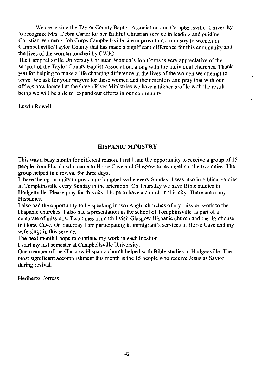We are asking the Taylor County Baptist Association and Campbellsville University to recognize Mrs. Debra Carter for her faithful Christian service in leading and guiding Christian Women's Job Corps Campbellsville site in providing a ministry to women in Campbellsville/Taylor County that has made a significant difference for this community and the lives of the women touched by CWJC.

The Campbellsville University Christian Women's Job Corps is very appreciative of the support of the Taylor County Baptist Association, along with the individual churches. Thank you for helping to make a life changing difference in the lives of the women we attempt to serve. We ask for your prayers for these women and their mentors and pray that with our offices now located at the Green River Ministries we have a higher profile with the result being we will be able to expand our efforts in our community.

**Edwin Rowell** 

#### **HISPANIC MINISTRY**

This was a busy month for different reason. First I had the opportunity to receive a group of 15 people from Florida who came to Horse Cave and Glasgow to evangelism the two cities. The group helped in a revival for three days.

I have the opportunity to preach in Campbellsville every Sunday. I was also in biblical studies in Tompkinsville every Sunday in the afternoon. On Thursday we have Bible studies in Hodgenville. Please pray for this city. I hope to have a church in this city. There are many Hispanics.

I also had the opportunity to be speaking in two Anglo churches of my mission work to the Hispanic churches. I also had a presentation in the school of Tompkinsville as part of a celebrate of missions. Two times a month I visit Glasgow Hispanic church and the lighthouse in Horse Cave. On Saturday I am participating in immigrant's services in Horse Cave and my wife sings in this service.

The next month I hope to continue my work in each location.

I start my last semester at Campbellsville University.

One member of the Glasgow Hispanic church helped with Bible studies in Hodgenville. The most significant accomplishment this month is the 15 people who receive Jesus as Savior during revival.

Heriberto Torress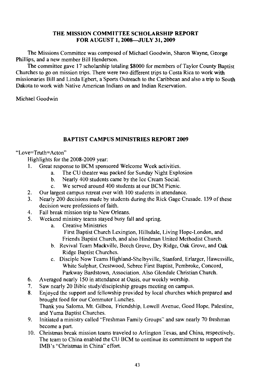#### THE MISSION COMMITTEE SCHOLARSHIP REPORT FOR AUGUST 1, 2008-JULY 31, 2009

The Missions Committee was composed of Michael Goodwin, Sharon Wayne, George Phillips, and a new member Bill Henderson.

The committee gave 17 scholarship totaling \$8000 for members of Taylor County Baptist Churches to go on mission trips. There were two different trips to Costa Rica to work with missionaries Bill and Linda Egbert, a Sports Outreach to the Caribbean and also a trip to South Dakota to work with Native American Indians on and Indian Reservation.

Michael Goodwin

## **BAPTIST CAMPUS MINISTRIES REPORT 2009**

## "Love=Truth=Acton"

Highlights for the 2008-2009 year:

- $\mathbf{1}$ Great response to BCM sponsored Welcome Week activities.
	- The CU theater was packed for Sunday Night Explosion  $a<sub>1</sub>$
	- Nearly 400 students came by the Ice Cream Social.  $b.$
	- We served around 400 students at our BCM Picnic.  $c_{-}$
- $2.$ Our largest campus retreat ever with 100 students in attendance.
- Nearly 200 decisions made by students during the Rick Gage Crusade. 139 of these  $3<sub>1</sub>$ decision were professions of faith.
- $\overline{4}$ . Fall break mission trip to New Orleans.
- $5<sub>1</sub>$ Weekend ministry teams staved busy fall and spring.
	- **Creative Ministries** a. First Baptist Church Lexington, Hillsdale, Living Hope-London, and Friends Baptist Church, and also Hindman United Methodist Church.
	- b. Revival Team Mackville, Beech Grove, Dry Ridge, Oak Grove, and Oak Ridge Baptist Churches.
	- c. Disciple Now Teams Highland-Shelbyville, Stanford, Erlarger, Hawesville, White Sulphur, Crestwood, Sebree First Baptist, Pembroke, Concord, Parkway Bardstown, Association, Also Glendale Christian Church.
- Averaged nearly 150 in attendance at Oasis, our weekly worship. 6.
- $7<sub>1</sub>$ Saw nearly 20 Bible study/discipleship groups meeting on campus.
- 8. Enjoyed the support and fellowship provided by local churches which prepared and brought food for our Commuter Lunches. Thank vou Saloma, Mt. Gilboa, Friendship, Lowell Avenue, Good Hope, Palestine, and Yuma Baptist Churches.
- 9. Initiated a ministry called "Freshman Family Groups" and saw nearly 70 freshman become a part.
- 10. Christmas break mission teams traveled to Arlington Texas, and China, respectively. The team to China enabled the CU BCM to continue its commitment to support the IMB's "Christmas in China" effort.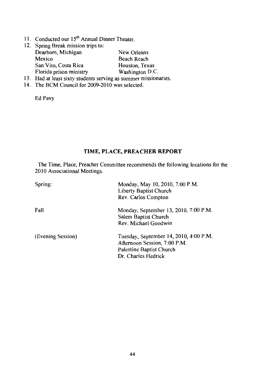11. Conducted our 15<sup>th</sup> Annual Dinner Theater.

|     | 12. Spring Break mission trips to:                          |                 |
|-----|-------------------------------------------------------------|-----------------|
|     | Dearborn, Michigan                                          | New Orleans     |
|     | Mexico                                                      | Beach Reach     |
|     | San Vito, Costa Rica                                        | Houston, Texas  |
|     | Florida prison ministry                                     | Washington D.C. |
| 13. | Had at least sixty students serving as summer missionaries. |                 |

14. The BCM Council for 2009-2010 was selected.

Ed Pavy

# TIME, PLACE, PREACHER REPORT

The Time, Place, Preacher Committee recommends the following locations for the 2010 Associational Meetings.

| Spring:           | Monday, May 10, 2010, 7:00 P.M.<br>Liberty Baptist Church<br>Rev. Carlos Compton                                          |
|-------------------|---------------------------------------------------------------------------------------------------------------------------|
| Fall              | Monday, September 13, 2010, 7:00 P.M.<br>Salem Baptist Church<br>Rev. Michael Goodwin                                     |
| (Evening Session) | Tuesday, September 14, 2010, 4:00 P.M.<br>Afternoon Session, 7:00 P.M.<br>Palestine Baptist Church<br>Dr. Charles Hedrick |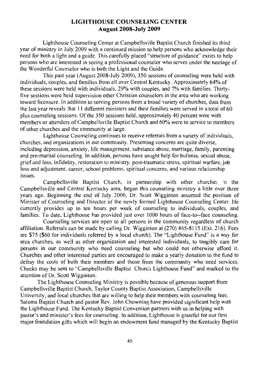## **LIGHTHOUSE COUNSELING CENTER August 2008-July 2009**

Lighthouse Counseling Center at Campbellsville Baptist Church finished its third year of ministry in July 2009 with a continued mission to help persons who acknowledge their need for both a light and a guide. This carefully placed "structure of guidance" exists to help persons who are interested in seeing a professional counselor who serves under the tutelage of the Wonderful Counselor who is both the Light and the Guide.

This past year (August 2008-July 2009), 350 sessions of counseling were held with individuals, couples, and families from all over Central Kentucky. Approximately 64% of these sessions were held with individuals, 29% with couples, and 7% with families. Thirtyfive sessions were held supervision other Christian counselors in the area who are working toward licensure. In addition to serving persons from a broad variety of churches, data from the last year reveals that 11 different ministers and their families were served in a total of 60 plus counseling sessions. Of the 350 sessions held, approximately 40 percent were with members or attenders of Campbellsville Baptist Church and 60% were in service to members of other churches and the community at large.

Lighthouse Counseling continues to receive referrals from a variety of individuals. churches, and organizations in our community. Presenting concerns are quite diverse, including depression, anxiety, life management, substance abuse, marriage, family, parenting and pre-marital counseling. In addition, persons have sought help for bulimia, sexual abuse, grief and loss, infidelity, restoration to ministry, post-traumatic stress, spiritual warfare, job loss and adjustment, career, school problems, spiritual concerns, and various relationship issues.

Campbellsville Baptist Church, in partnership with other churches in the Campbellsville and Central Kentucky area, began this counseling ministry a little over three years ago. Beginning the end of July 2006, Dr. Scott Wigginton assumed the position of Minister of Counseling and Director of the newly formed Lighthouse Counseling Center. He currently provides up to ten hours per week of counseling to individuals, couples, and families. To date, Lighthouse has provided just over 1000 hours of face-to--face counseling.

Counseling services are open to all persons in the community regardless of church affiliation. Referrals can be made by calling Dr. Wigginton at (270) 465-8115 (Ext. 216). Fees are \$75 (\$60 for individuals referred by a local church). The "Lighthouse Fund" is a way for area churches, as well as other organization and interested individuals, to tangibly care for persons in our community who need counseling but who could not otherwise afford it. Churches and other interested parties are encouraged to make a yearly donation to the fund to defray the costs of both their members and those from the community who need services. Checks may be sent to "Campbellsville Baptist Church Lighthouse Fund" and marked to the attention of Dr. Scott Wigginton.

The Lighthouse Counseling Ministry is possible because of generous support from Campbellsville Baptist Church, Taylor County Baptist Association, Campbellsville University, and local churches that are willing to help their members with counseling fees. Saloma Baptist Church and pastor Rev. John Chowning have provided significant help with the Lighthouse Fund. The Kentucky Baptist Convention partners with us in helping with pastor's and minister's fees for counseling. In addition, Lighthouse is grateful for our first major foundation gifts which will begin an endowment fund managed by the Kentucky Baptist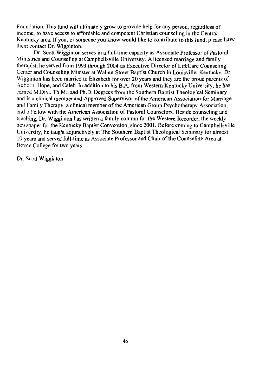Foundation. This fund will ultimately grow to provide help for any person, regardless of income, to have access to affordable and competent Christian counseling in the Central Kentucky area. If you, or someone you know would like to contribute to this fund, please have them contact Dr. Wigginton.

Dr. Scott Wigginton serves in a full-time capacity as Associate Professor of Pastoral Ministries and Counseling at Campbellsville University. A licensed marriage and family therapist, he served from 1993 through 2004 as Executive Director of LifeCare Counseling Center and Counseling Minister at Walnut Street Baptist Church in Louisville, Kentucky. Dr. Wigginton has been married to Elizabeth for over 20 years and they are the proud parents of Auburn, Hope, and Caleb. In addition to his B.A. from Western Kentucky University, he has carned M.Div., Th.M., and Ph.D. Degrees from the Southern Baptist Theological Seminary and is a clinical member and Approved Supervisor of the American Association for Marriage and Family Therapy, a clinical member of the American Group Psychotherapy Association, and a Fellow with the American Association of Pastoral Counselors. Beside counseling and teaching, Dr. Wigginton has written a family column for the Western Recorder, the weekly newspaper for the Kentucky Baptist Convention, since 2001. Before coming to Campbellsville University, he taught adjunctively at The Southern Baptist Theological Seminary for almost 10 years and served full-time as Associate Professor and Chair of the Counseling Area at Boyce College for two years.

Dr. Scott Wigginton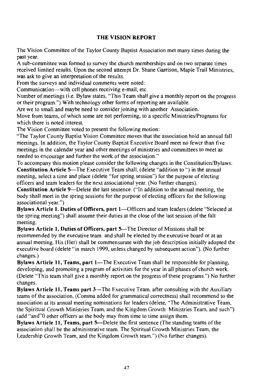## **THE VISION REPORT**

The Vision Committee of the Taylor County Baptist Association met many times during the past year.

A sub-committee was formed to survey the church memberships and on two separate times received limited results. Upon the second attempt Dr. Shane Garrison, Maple Trail Ministries, was ask to give an interpretation of the results.

From the surveys and individual comments were noted:

Communication—with cell phones receiving e-mail, etc.

Number of meetings (i.e. Bylaw states, "This Team shall give a monthly report on the progress or their program.") With technology other forms of reporting are available.

Are we to small and maybe need to consider joining with another Association.

Move from teams, of which some are not performing, to a specific Ministries/Programs for which there is noted interest.

The Vision Committee voted to present the following motion:

"The Taylor County Baptist Vision Committee moves that the association hold an annual fall meetings. In addition, the Taylor County Baptist Executive Board meet no fewer than five meetings in the calendar year and other meetings of ministries and committees to meet as needed to encourage and further the work of the association."

To accompany this motion please consider the following changes in the Constitution/Bylaws: **Constitution Article 5—The Executive Team shall, (delete "addition to ") in the annual** meeting, select a time and place (delete "for spring session") for the purpose of electing officers and team leaders for the next associational year. (No further changes).

Constitution Article 9—Delete the last sentence. ("In addition to the annual meeting, the body shall meet in the spring sessions for the purpose of electing officers for the following associational year.")

Bylaws Article 1. Duties of Officers, part 1—Officers and team leaders (delete "Selected at the spring meeting") shall assume their duties at the close of the last session of the fall meeting.

Bylaws Article 1, Duties of Officers, part 5-The Director of Missions shall be recommended by the executive team and shall be elected by the executive board or at an annual meeting. His (Her) shall be commensurate with the job description initially adopted the executive board (delete "in march 1999, unless changed by subsequent action"). (No further changes.)

Bylaws Article 11, Teams, part 1-The Executive Team shall be responsible for planning, developing, and promoting a program of activities for the year in all phases of church work. (Delete "This team shall give a monthly report on the progress of these programs.") No further changes.

Bylaws Article 11, Teams part 3-The Executive Team, after consulting with the Auxiliary teams of the association, (Comma added for grammatical correctness) shall recommend to the association at its annual meeting nominations for leaders (delete, "The Administrative Team, the Spiritual Growth Ministries Team, and the Kingdom Growth Ministries Team, and such") (add "and"0 other officers as the body may from time to time assign them.

Bylaws Article 11, Teams, part 5—Delete the first sentence (The standing teams of the association shall be the administrative team. The Spiritual Growth Ministries Team, the Leadership Growth Team, and the Kingdom Growth team.") (No further changes).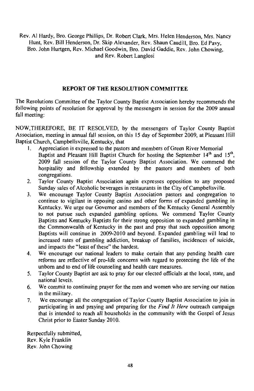Rev. Al Hardy, Bro. George Phillips, Dr. Robert Clark, Mrs. Helen Henderson, Mrs. Nancy Hunt, Rev. Bill Henderson, Dr. Skip Alexander, Rev. Shaun Caudill, Bro. Ed Pavy, Bro. John Hurtgen, Rev. Michael Goodwin, Bro. David Gaddie, Rev. John Chowing, and Rev. Robert Langlosi

## REPORT OF THE RESOLUTION COMMITTEE

The Resolutions Committee of the Taylor County Baptist Association hereby recommends the following points of resolution for approval by the messengers in session for the 2009 annual fall meeting:

NOW, THEREFORE, BE IT RESOLVED, by the messengers of Taylor County Baptist Association, meeting in annual fall session, on this 15 day of September 2009, at Pleasant Hill Baptist Church, Campbellsville, Kentucky, that

- Appreciation is expressed to the pastors and members of Green River Memorial  $\mathbf{L}$ Baptist and Pleasant Hill Baptist Church for hosting the September 14th and 15th, 2009 fall session of the Taylor County Baptist Association. We commend the hospitality and fellowship extended by the pastors and members of both congregations.
- Taylor County Baptist Association again expresses opposition to any proposed  $2.$ Sunday sales of Alcoholic beverages in restaurants in the City of Campbellsville.
- We encourage Taylor County Baptist Association pastors and congregation to  $3<sub>1</sub>$ continue to vigilant in opposing casino and other forms of expanded gambling in Kentucky. We urge our Governor and members of the Kentucky General Assembly to not pursue such expanded gambling options. We commend Taylor County Baptists and Kentucky Baptists for their strong opposition to expanded gambling in the Commonwealth of Kentucky in the past and pray that such opposition among Baptists will continue in 2009-2010 and beyond. Expanded gambling will lead to increased rates of gambling addiction, breakup of families, incidences of suicide, and impacts the "least of these" the hardest.
- We encourage our national leaders to make certain that any pending health care 4. reforms are reflective of pro-life concerns with regard to protecting the life of the unborn and to end of life counseling and health care measures.
- 5. Taylor County Baptist are ask to pray for our elected officials at the local, state, and national levels.
- 6. We commit to continuing prayer for the men and women who are serving our nation in the military.
- We encourage all the congregation of Taylor County Baptist Association to join in  $7.$ participating in and praying and preparing for the Find It Here outreach campaign that is intended to reach all households in the community with the Gospel of Jesus Christ prior to Easter Sunday 2010.

Respectfully submitted. Rev. Kyle Franklin Rev. John Chowing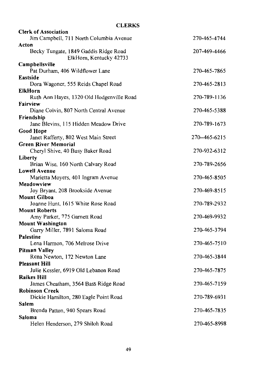| <b>CLERKS</b>                             |               |
|-------------------------------------------|---------------|
| <b>Clerk of Association</b>               |               |
| Jim Campbell, 711 North Columbia Avenue   | 270-465-4744  |
| Acton                                     |               |
| Becky Tungate, 1849 Gaddis Ridge Road     | 207-469-4466  |
| ElkHorn, Kentucky 42733                   |               |
| Campbellsville                            |               |
| Pat Durham, 406 Wildflower Lane           | 270-465-7865  |
| Eastside                                  |               |
| Dora Wagoner, 555 Reids Chapel Road       | 270-465-2813  |
| ElkHorn                                   |               |
| Ruth Ann Hayes, 1320 Old Hodgenville Road | 270-789-1136  |
| Fairview                                  |               |
| Diane Colvin, 807 North Central Avenue    | 270-465-5388  |
| Friendship                                |               |
| Jane Blevins, 115 Hidden Meadow Drive     | 270-789-1673  |
| Good Hope                                 |               |
| Janet Rafferty, 802 West Main Street      | 270--465-6215 |
| Green River Memorial                      |               |
| Cheryl Shive, 40 Busy Baker Road          | 270-932-6312  |
| Liberty                                   |               |
| Brian Wise, 160 North Calvary Road        | 270-789-2656  |
| <b>Lowell Avenue</b>                      |               |
| Marietta Moyers, 401 Ingram Avenue        | 270-465-8505  |
| Meadowview                                |               |
| Joy Bryant, 208 Brookside Avenue          | 270-469-8515  |
| <b>Mount Gilboa</b>                       |               |
| Joanne Hunt, 1615 White Rose Road         | 270-789-2932  |
| <b>Mount Roberts</b>                      |               |
| Amy Parker, 775 Garnett Road              | 270-469-9932  |
| <b>Mount Washington</b>                   |               |
| Garry Miller, 7891 Saloma Road            | 270-465-3794  |
| Palestine                                 |               |
| Lena Harmon, 706 Melrose Drive            | 270-465-7510  |
|                                           |               |
| <b>Pitman Valley</b>                      |               |
| Rena Newton, 172 Newton Lane              | 270-465-3844  |
| <b>Pleasant Hill</b>                      |               |
| Julie Kessler, 6919 Old Lebanon Road      | 270-465-7875  |
| <b>Raikes Hill</b>                        |               |
| James Cheatham, 3564 Bass Ridge Road      | 270-465-7159  |
| <b>Robinson Creek</b>                     |               |
| Dickie Hamilton, 280 Eagle Point Road     | 270-789-6931  |
| Salem                                     |               |
| Brenda Patton, 940 Spears Road            | 270-465-7835  |
| Saloma                                    |               |
| Helen Henderson, 279 Shiloh Road          | 270-465-8998  |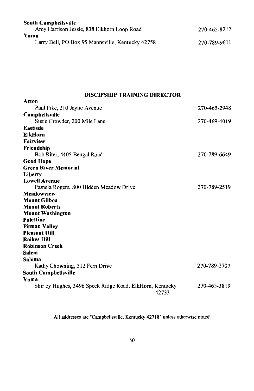| <b>South Campbellsville</b>                      |              |
|--------------------------------------------------|--------------|
| Amy Harrison Jessie, 838 Elkhorn Loop Road       | 270-465-8217 |
| Yuma                                             |              |
| Larry Bell, PO Box 95 Mannsville, Kentucky 42758 | 270-789-9611 |

# **DISCIPSHIP TRAINING DIRECTOR**

 $\mathcal{L}^{\mathcal{L}}(\mathcal{L}^{\mathcal{L}})$  and  $\mathcal{L}^{\mathcal{L}}(\mathcal{L}^{\mathcal{L}})$  and  $\mathcal{L}^{\mathcal{L}}(\mathcal{L}^{\mathcal{L}})$ 

| Acton                                                             |              |
|-------------------------------------------------------------------|--------------|
| Paul Pike, 210 Jayne Avenue                                       | 270-465-2948 |
| Campbellsville                                                    |              |
| Susie Crowder, 200 Mile Lane                                      | 270-469-4019 |
| Eastisde                                                          |              |
| <b>ElkHorn</b>                                                    |              |
| Fairview                                                          |              |
| Friendship                                                        |              |
| Bob Riter, 4405 Bengal Road                                       | 270-789-6649 |
| <b>Good Hope</b>                                                  |              |
| <b>Green River Memorial</b>                                       |              |
| Liberty                                                           |              |
| <b>Lowell Avenue</b>                                              |              |
| Pamela Rogers, 800 Hidden Meadow Drive                            | 270-789-2519 |
| Meadowview                                                        |              |
| Mount Gilboa                                                      |              |
| <b>Mount Roberts</b>                                              |              |
| <b>Mount Washington</b>                                           |              |
| Palestine                                                         |              |
| <b>Pitman Valley</b>                                              |              |
| <b>Pleasant IIill</b>                                             |              |
| <b>Raikes Hill</b>                                                |              |
| <b>Robinson Creek</b>                                             |              |
| <b>Salem</b>                                                      |              |
| Saloma                                                            |              |
| Kathy Chowning, 512 Fern Drive                                    | 270-789-2707 |
| <b>South Campbellsville</b>                                       |              |
| Yuma                                                              |              |
| Shirley Hughes, 3496 Speck Ridge Road, ElkHorn, Kentucky<br>42733 | 270-465-3819 |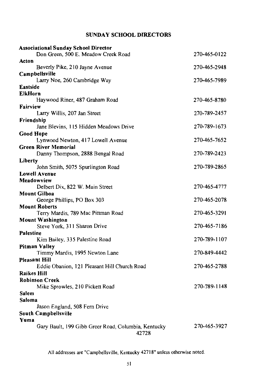# **SUNDAY SCHOOL DIRECTORS**

| <b>Associational Sunday School Director</b>                      |              |
|------------------------------------------------------------------|--------------|
| Don Green, 500 E. Meadow Creek Road                              | 270-465-0122 |
| Acton                                                            |              |
| Beverly Pike, 210 Jayne Avenue                                   | 270-465-2948 |
| Campbellsville                                                   |              |
| Larry Noe, 260 Cambridge Way                                     | 270-465-7989 |
| Eastside                                                         |              |
| <b>ElkHorn</b>                                                   |              |
| Haywood Riner, 487 Graham Road                                   | 270-465-8780 |
| <b>Fairview</b>                                                  |              |
| Larry Willis, 207 Jan Street                                     | 270-789-2457 |
| Friendship                                                       |              |
| Jane Blevins, 115 Hidden Meadows Drive                           | 270-789-1673 |
| <b>Good Hope</b>                                                 |              |
| Lynwood Newton, 417 Lowell Avenue<br><b>Green River Memorial</b> | 270-465-7652 |
|                                                                  | 270-789-2423 |
| Danny Thompson, 2888 Bengal Road                                 |              |
| Liberty                                                          | 270-789-2865 |
| John Smith, 5075 Spurlington Road<br><b>Lowell Avenue</b>        |              |
| Meadowview                                                       |              |
| Delbert Dix, 822 W. Main Street                                  | 270-465-4777 |
| <b>Mount Gilboa</b>                                              |              |
| George Phillips, PO Box 303                                      | 270-465-2078 |
| <b>Mount Roberts</b>                                             |              |
| Terry Mardis, 789 Mac Pittman Road                               | 270-465-3291 |
| <b>Mount Washington</b>                                          |              |
| Steve York, 311 Sharon Drive                                     | 270-465-7186 |
| Palestine                                                        |              |
| Kim Bailey, 335 Palestine Road                                   | 270-789-1107 |
| Pitman Valley                                                    |              |
| Timmy Mardis, 1995 Newton Lane                                   | 270-849-4442 |
| Pleasant Hill                                                    |              |
| Eddie Obanion, 121 Pleasant Hill Church Road                     | 270-465-2788 |
| <b>Raikes Hill</b>                                               |              |
| <b>Robinson Creek</b>                                            |              |
| Mike Sprowles, 210 Pickett Road                                  | 270-789-1148 |
| Salem                                                            |              |
| Saloma                                                           |              |
| Jason England, 508 Fern Drive                                    |              |
| South Campbellsville                                             |              |
| Yuma                                                             |              |
| Gary Bault, 199 Gibb Greer Road, Columbia, Kentucky<br>42728     | 270-465-3927 |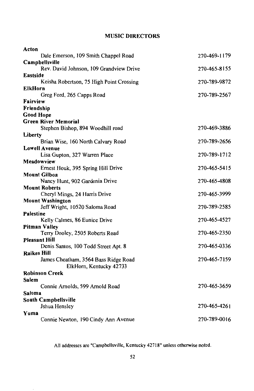# **MUSIC DIRECTORS**

| Acton                                    |              |
|------------------------------------------|--------------|
| Dale Emerson, 109 Smith Chappel Road     | 270-469-1179 |
| <b>Campbellsville</b>                    |              |
| Rev. David Johnson, 109 Grandview Drive  | 270-465-8155 |
| Eastside                                 |              |
| Keisha Robertson, 75 High Point Crossing | 270-789-9872 |
| ElkHorn                                  |              |
| Greg Ford, 265 Capps Road                | 270-789-2567 |
| Fairview                                 |              |
| Friendship                               |              |
| <b>Good Hope</b>                         |              |
| <b>Green River Memorial</b>              |              |
| Stephen Bishop, 894 Woodhill road        | 270-469-3886 |
| Liberty                                  |              |
| Brian Wise, 160 North Calvary Road       | 270-789-2656 |
| <b>Lowell Avenue</b>                     |              |
| Lisa Gupton, 327 Warren Place            | 270-789-1712 |
| Meadowview                               |              |
| Ernest Houk, 395 Spring Hill Drive       | 270-465-5415 |
| <b>Mount Gilboa</b>                      |              |
| Nancy Hunt, 902 Gardenia Drive           | 270-465-4808 |
| <b>Mount Roberts</b>                     |              |
| Cheryl Mings, 24 Harris Drive            | 270-465-3999 |
| <b>Mount Washington</b>                  |              |
| Jeff Wright, 10520 Saloma Road           | 270-789-2585 |
| <b>Palestine</b>                         |              |
| Kelly Calmes, 86 Eunice Drive            | 270-465-4527 |
| <b>Pitman Valley</b>                     |              |
| Terry Dooley, 2505 Roberts Road          | 270-465-2350 |
| <b>Pleasant Hill</b>                     |              |
| Denis Santos, 100 Todd Street Apt. 8     | 270-465-0336 |
| <b>Raikes Hill</b>                       |              |
| James Cheatham, 3564 Bass Ridge Road     | 270-465-7159 |
| ElkHorn, Kentucky 42733                  |              |
| <b>Robinson Creek</b>                    |              |
| Salem                                    |              |
| Connie Arnolds, 599 Arnold Road          | 270-465-3659 |
| Saloma                                   |              |
| South Campbellsville                     |              |
| Jshua Hensley                            | 270-465-4261 |
| Yuma                                     |              |
| Connie Newton, 190 Cindy Ann Avenue      | 270-789-0016 |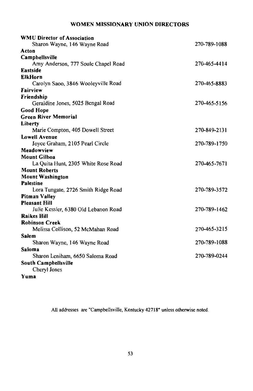# WOMEN MISSIONARY UNION DIRECTORS

| <b>WMU Director of Association</b>   |              |
|--------------------------------------|--------------|
| Sharon Wayne, 146 Wayne Road         | 270-789-1088 |
| Acton                                |              |
| Campbellsville                       |              |
| Amy Anderson, 777 Soule Chapel Road  | 270-465-4414 |
| <b>Eastside</b>                      |              |
| <b>ElkHorn</b>                       |              |
| Carolyn Saoo, 3846 Wooleyville Road  | 270-465-8883 |
| Fairview                             |              |
| Friendship                           |              |
| Geraldine Jones, 5025 Bengal Road    | 270-465-5156 |
| <b>Good Hope</b>                     |              |
| <b>Green River Memorial</b>          |              |
| Liberty                              |              |
| Marie Compton, 405 Dowell Street     | 270-849-2131 |
| <b>Lowell Avenue</b>                 |              |
| Joyce Graham, 2105 Pearl Circle      | 270-789-1750 |
| Meadowview                           |              |
| <b>Mount Gilboa</b>                  |              |
| La Quita Hunt, 2305 White Rose Road  | 270-465-7671 |
| <b>Mount Roberts</b>                 |              |
| <b>Mount Washington</b>              |              |
| <b>Palestine</b>                     |              |
| Lora Tungate, 2726 Smith Ridge Road  | 270-789-3572 |
| Pitman Valley                        |              |
| <b>Pleasant Hill</b>                 |              |
| Julie Kessler, 6380 Old Lebanon Road | 270-789-1462 |
| <b>Raikes Hill</b>                   |              |
| <b>Robinson Creek</b>                |              |
| Melissa Collison, 52 McMahan Road    | 270-465-3215 |
| Salem                                |              |
| Sharon Wayne, 146 Wayne Road         | 270-789-1088 |
| Saloma                               |              |
| Sharon Leniham, 6650 Saloma Road     | 270-789-0244 |
| South Campbellsville                 |              |
| Cheryl Jones                         |              |
| Yuma                                 |              |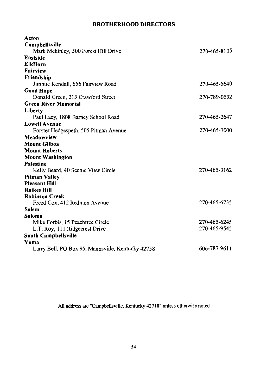# **BROTHERHOOD DIRECTORS**

| Acton                                             |              |
|---------------------------------------------------|--------------|
| Campbellsville                                    |              |
| Mark Mckinley, 500 Forest Hill Drive              | 270-465-8105 |
| Eastside                                          |              |
| <b>ElkHorn</b>                                    |              |
| Fairview                                          |              |
| Friendship                                        |              |
| Jimmie Kendall, 656 Fairview Road                 | 270-465-5640 |
| <b>Good Hope</b>                                  |              |
| Donald Green, 213 Crawford Street                 | 270-789-0532 |
| <b>Green River Memorial</b>                       |              |
| Liberty                                           |              |
| Paul Lacy, 1808 Barney School Road                | 270-465-2647 |
| <b>Lowell Avenue</b>                              |              |
| Forster Hedgespeth, 505 Pitman Avenue             | 270-465-7000 |
| Meadowview                                        |              |
| <b>Mount Gilboa</b>                               |              |
| <b>Mount Roberts</b>                              |              |
| <b>Mount Washington</b>                           |              |
| <b>Palestine</b>                                  |              |
| Kelly Beard, 40 Scenic View Circle                | 270-465-3162 |
| <b>Pitman Valley</b>                              |              |
| <b>Pleasant Hill</b>                              |              |
| <b>Raikes Hill</b>                                |              |
| <b>Robinson Creek</b>                             |              |
| Freed Cox, 412 Redmon Avenue                      | 270-465-6735 |
| <b>Salem</b>                                      |              |
| Saloma                                            |              |
| Mike Forbis, 15 Peachtree Circle                  | 270-465-6245 |
| L.T. Roy, 111 Ridgecrest Drive                    | 270-465-9545 |
| South Campbellsville                              |              |
| Yuma                                              |              |
| Larry Bell, PO Box 95, Mannsville, Kentucky 42758 | 606-787-9611 |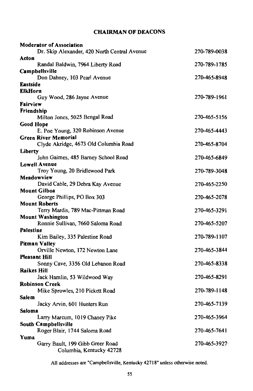# **CHAIRMAN OF DEACONS**

| <b>Moderator of Association</b>              |              |
|----------------------------------------------|--------------|
| Dr. Skip Alexander, 420 North Central Avenue | 270-789-0038 |
| Acton                                        |              |
| Randal Baldwin, 7964 Liberty Road            | 270-789-1785 |
| Campbellsville                               |              |
| Don Dabney, 103 Pearl Avenue                 | 270-465-8948 |
| <b>Eastside</b>                              |              |
| <b>ElkHorn</b>                               |              |
| Guy Wood, 286 Jayne Avenue                   | 270-789-1961 |
| Fairview                                     |              |
| <b>Friendship</b>                            |              |
| Milton Jones, 5025 Bengal Road               | 270-465-5156 |
| Good Hope                                    |              |
| E. Poe Young, 320 Robinson Avenue            | 270-465-4443 |
| <b>Green River Memorial</b>                  |              |
| Clyde Akridge, 4673 Old Columbia Road        | 270-465-8704 |
| Liberty                                      |              |
| John Gaimes, 485 Barney School Road          | 270-465-6849 |
| Lowell Avenue                                |              |
| Troy Young, 20 Bridlewood Park               | 270-789-3048 |
| Meadowview                                   |              |
| David Cable, 29 Debra Kay Avenue             | 270-465-2250 |
| <b>Mount Gilboa</b>                          |              |
| George Phillips, PO Box 303                  | 270-465-2078 |
| <b>Mount Roberts</b>                         |              |
| Terry Mardis, 789 Mac-Pittman Road           | 270-465-3291 |
| <b>Mount Washington</b>                      |              |
| Ronnie Sullivan, 7660 Saloma Road            | 270-465-5207 |
| <b>Palestine</b>                             |              |
| Kim Bailey, 335 Palestine Road               | 270-789-1107 |
| Pitman Valley                                |              |
| Orville Newton, 172 Newton Lane              | 270-465-3844 |
| <b>Pleasant Hill</b>                         |              |
| Sonny Cave, 3356 Old Lebanon Road            | 270-465-8338 |
| <b>Raikes Hill</b>                           |              |
| Jack Hamlin, 53 Wildwood Way                 | 270-465-8291 |
| <b>Robinson Creek</b>                        |              |
| Mike Sprowles, 210 Pickett Road              | 270-789-1148 |
| Salem                                        |              |
| Jacky Arvin, 601 Hunters Run                 | 270-465-7139 |
| Saloma                                       |              |
| Larry Marcum, 1019 Chaney Pike               | 270-465-3964 |
| South Campbellsville                         |              |
| Roger Blair, 1744 Saloma Road                | 270-465-7641 |
| Yuma                                         |              |
| Garry Bault, 199 Gibb Greer Road             | 270-465-3927 |
| Columbia, Kentucky 42728                     |              |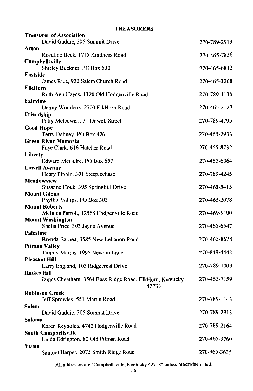| <b>Treasurer of Association</b>                             |              |
|-------------------------------------------------------------|--------------|
| David Gaddie, 306 Summit Drive                              | 270-789-2913 |
| Acton                                                       |              |
| Rosaline Beck, 1715 Kindness Road                           | 270-465-7856 |
| Campbellsville                                              |              |
| Shirley Buckner, PO Box 530                                 | 270-465-6842 |
| Eastside                                                    |              |
| James Rice, 922 Salem Church Road                           | 270-465-3208 |
| ElkHorn<br>Ruth Ann Hayes, 1320 Old Hodgenville Road        | 270-789-1136 |
| Fairview                                                    |              |
| Danny Woodcox, 2700 ElkHorn Road                            | 270-465-2127 |
| Friendship                                                  |              |
| Patty McDowell, 71 Dowell Street                            | 270-789-4795 |
| Good Hope                                                   |              |
| Terry Dabney, PO Box 426                                    | 270-465-2933 |
| Green River Memorial                                        |              |
| Faye Clark, 616 Hatcher Road                                | 270-465-8732 |
| Liberty                                                     |              |
| Edward McGuire, PO Box 657                                  | 270-465-6064 |
| <b>Lowell Avenue</b>                                        |              |
| Henry Pippin, 301 Steeplechase<br>Meadowview                | 270-789-4245 |
| Suzanne Houk, 395 Springhill Drive                          | 270-465-5415 |
| <b>Mount Gilboa</b>                                         |              |
| Phyllis Phillips, PO Box 303                                | 270-465-2078 |
| <b>Mount Roberts</b>                                        |              |
| Melinda Parrott, 12568 Hodgenville Road                     | 270-469-9100 |
| <b>Mount Washington</b>                                     |              |
| Shelia Price, 303 Jayne Avenue                              | 270-465-6547 |
| Palestine                                                   |              |
| Brenda Barnett, 3585 New Lebanon Road                       | 270-465-8678 |
| Pitman Valley<br>Timmy Mardis, 1995 Newton Lane             | 270-849-4442 |
| Pleasant Hill                                               |              |
| Larry England, 105 Ridgecrest Drive                         | 270-789-1009 |
| <b>Raikes Hill</b>                                          |              |
| James Cheatham, 3564 Bass Ridge Road, ElkHorn, Kentucky     | 270-465-7159 |
| 42733                                                       |              |
| Robinson Creek                                              |              |
| Jeff Sprowles, 551 Martin Road                              | 270-789-1143 |
| Salem                                                       |              |
| David Gaddie, 305 Summit Drive                              | 270-789-2913 |
| Saloma                                                      |              |
| Karen Reynolds, 4742 Hodgenville Road                       | 270-789-2164 |
| South Campbellsville<br>Linda Edrington, 80 Old Pitman Road | 270-465-3760 |
| Yuma                                                        |              |
| Samuel Harper, 2075 Smith Ridge Road                        | 270-465-3635 |
|                                                             |              |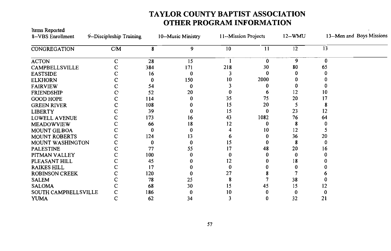# TAYLOR COUNTY BAPTIST ASSOCIATION OTHER PROGRAM INFORMATION

| Items Reported<br>8--VBS Enrollment | 9--Discipleship Training |     | 10--Music Ministry | 11--Mission Projects |      | 12--WMU | 13-Men and Boys Missions |
|-------------------------------------|--------------------------|-----|--------------------|----------------------|------|---------|--------------------------|
|                                     |                          |     |                    |                      |      |         |                          |
| CONGREGATION                        | C/M                      | 8   | 9                  | 10                   | 11   | 12      | 13                       |
| <b>ACTON</b>                        | C                        | 28  | 15                 |                      | 0    | 9       | 0                        |
| CAMPBELLSVILLE                      |                          | 384 | 171                | 218                  | 30   | 80      | 65                       |
| <b>EASTSIDE</b>                     |                          | 16  | 0                  |                      |      |         |                          |
| <b>ELKHORN</b>                      |                          | 0   | 150                | 10                   | 2000 |         |                          |
| <b>FAIRVIEW</b>                     |                          | 54  | $\Omega$           |                      |      | 0       |                          |
| <b>FRIENDSHIP</b>                   |                          | 52  | 20                 |                      |      | 12      | 10                       |
| <b>GOOD HOPE</b>                    |                          | 114 |                    | 35                   | 75   | 20      | 17                       |
| <b>GREEN RIVER</b>                  |                          | 108 |                    | 15                   | 20   |         |                          |
| <b>LIBERTY</b>                      |                          | 39  |                    | 15                   | 0    | 23      | 12                       |
| LOWELL AVENUE                       |                          | 173 | 16                 | 43                   | 1082 | 76      | 64                       |
| <b>MEADOWVIEW</b>                   |                          | 66  | 18                 | 12                   |      | 8       |                          |
| <b>MOUNT GILBOA</b>                 |                          | 0   |                    |                      | 10   | 12      |                          |
| <b>MOUNT ROBERTS</b>                |                          | 124 | 13                 |                      |      | 36      | 20                       |
| MOUNT WASHINGTON                    |                          | 0   | 0                  | 15                   |      | 8       |                          |
| <b>PALESTINE</b>                    |                          | 77  | 55                 | 17                   | 48   | 20      | 16                       |
| PITMAN VALLEY                       |                          | 100 |                    |                      |      | 0       |                          |
| PLEASANT HILL                       |                          | 45  |                    | 12                   |      | 18      |                          |
| <b>RAIKES HILL</b>                  |                          | 17  |                    |                      |      |         |                          |
| <b>ROBINSON CREEK</b>               |                          | 120 |                    | 27                   |      |         |                          |
| <b>SALEM</b>                        |                          | 78  | 25                 |                      |      | 38      |                          |
| <b>SALOMA</b>                       |                          | 68  | 30                 | 15                   | 45   | 15      | 12                       |
| SOUTH CAMPBELLSVILLE                | с                        | 186 | 0                  | 10                   |      | 0       |                          |
| <b>YUMA</b>                         | Ċ                        | 62  | 34                 | 3                    | 0    | 32      | 21                       |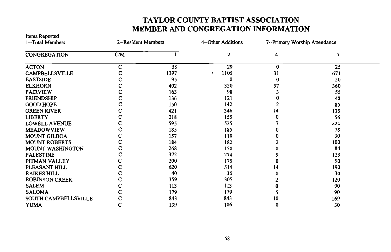# TAYLOR COUNTY BAPTIST ASSOCIATION MEMBER AND CONGREGATION INFORMATION

| 1-Total Members       | 2-Resident Members |      | 4--Other Additions | 7--Primary Worship Attendance |     |  |
|-----------------------|--------------------|------|--------------------|-------------------------------|-----|--|
| <b>CONGREGATION</b>   | CM                 |      | 2                  | 4                             | 7   |  |
| <b>ACTON</b>          | c                  | 58   | 29                 | $\bf{0}$                      | 25  |  |
| CAMPBELLSVILLE        |                    | 1397 | 1105<br>۰          | 31                            | 671 |  |
| <b>EASTSIDE</b>       |                    | 95   |                    |                               | 20  |  |
| <b>ELKHORN</b>        |                    | 402  | 320                | 57                            | 360 |  |
| <b>FAIRVIEW</b>       |                    | 163  | 98                 |                               | 55  |  |
| <b>FRIENDSHIP</b>     |                    | 136  | 121                |                               | 40  |  |
| <b>GOOD HOPE</b>      |                    | 150  | 142                |                               | 85  |  |
| <b>GREEN RIVER</b>    |                    | 421  | 346                | 14                            | 135 |  |
| <b>LIBERTY</b>        |                    | 218  | 155                |                               | 56  |  |
| <b>LOWELL AVENUE</b>  |                    | 595  | 525                |                               | 224 |  |
| <b>MEADOWVIEW</b>     |                    | 185  | 185                |                               | 78  |  |
| <b>MOUNT GILBOA</b>   |                    | 157  | 119                |                               | 30  |  |
| <b>MOUNT ROBERTS</b>  |                    | 184  | 182                |                               | 100 |  |
| MOUNT WASHINGTON      |                    | 268  | 150                |                               | 84  |  |
| <b>PALESTINE</b>      |                    | 372  | 274                |                               | 123 |  |
| PITMAN VALLEY         |                    | 200  | 175                |                               | 90  |  |
| PLEASANT HILL         |                    | 620  | 514                | 14                            | 190 |  |
| <b>RAIKES HILL</b>    |                    | 40   | 35                 |                               | 30  |  |
| <b>ROBINSON CREEK</b> |                    | 359  | 305                |                               | 120 |  |
| <b>SALEM</b>          |                    | 113  | 113                |                               | 90  |  |
| <b>SALOMA</b>         |                    | 179  | 179                |                               | 90  |  |
| SOUTH CAMPBELLSVILLE  |                    | 843  | 843                | 10                            | 169 |  |
| <b>YUMA</b>           |                    | 139  | 106                |                               | 30  |  |

**Items Reported**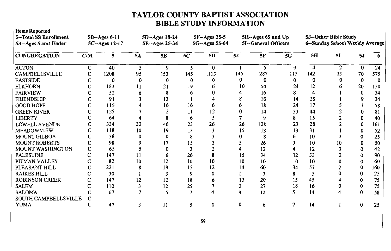# TAYLOR COUNTY BAPTIST ASSOCIATION **BIBLE STUDY INFORMATION**

Itams Danortad

| meins technisch<br>5--Total SS Enrollment<br>5A-Ages 5 and Under |     | $5B - Ages$ 6-11<br>5C--Ages 12-17 |    | 5D--Ages 18-24<br>5E--Ages 25-34 |     | 5F-Ages 35-5<br>5G--Ages 55-64 |     | 5H--Ages 65 and Up<br>5I--General Officers |     |     | 5J-Other Bible Study<br>6-Sunday School Weekly Average |    |     |
|------------------------------------------------------------------|-----|------------------------------------|----|----------------------------------|-----|--------------------------------|-----|--------------------------------------------|-----|-----|--------------------------------------------------------|----|-----|
| <b>CONGREGATION</b>                                              | C/M | 5                                  | 5A | 5B                               | 5C  | 5D                             | 5E  | 5F                                         | 5G  | 5H  | 51                                                     | 5J |     |
| <b>ACTON</b>                                                     | C   | 40                                 |    | 9                                | 5   | $\bf{0}$                       |     | 5                                          | 9   | 4   | $\mathcal{L}$                                          | 0  | 24  |
| <b>CAMPBELLSVILLE</b>                                            |     | 1208                               | 95 | 153                              | 145 | .113                           | 145 | 287                                        | 115 | 142 | 13                                                     | 70 | 575 |
| <b>EASTSIDE</b>                                                  |     | 0                                  |    |                                  |     |                                |     |                                            |     | 0   |                                                        | 0  |     |
| <b>ELKHORN</b>                                                   |     | 183                                | 11 | 21                               | 19  |                                | 10  | 54                                         | 24  | 12  |                                                        | 20 | 150 |
| <b>FAIRVIEW</b>                                                  |     | 52                                 |    |                                  |     |                                |     | 16                                         |     |     |                                                        | 0  | 34  |
| <b>FRIENDSHIP</b>                                                |     | 91                                 |    |                                  |     |                                |     | 10                                         | 14  | 28  |                                                        | Q  | 34  |
| <b>GOOD HOPE</b>                                                 |     | 115                                |    | 16                               | 16  |                                |     | 18                                         | 24  | 17  |                                                        |    | 58  |
| <b>GREEN RIVER</b>                                               |     | 125                                |    |                                  |     |                                |     | 14                                         | 33  | 44  |                                                        |    |     |
| <b>LIBERTY</b>                                                   |     | 64                                 |    |                                  |     |                                |     |                                            |     | 15  |                                                        |    | 40  |
| LOWELL AVENUE                                                    |     | 334                                | 32 | 46                               | 23  | 26                             | 26  | 128                                        | 23  | 28  |                                                        |    | 161 |
| <b>MEADOWVIEW</b>                                                |     | 118                                | 10 | 19                               | 13  |                                | 15  | 13                                         | 13  | 31  |                                                        |    | 52  |
| <b>MOUNT GILBOA</b>                                              |     | 38                                 |    |                                  |     |                                |     |                                            |     | 10  |                                                        |    | 25  |
| <b>MOUNT ROBERTS</b>                                             |     | 98                                 |    | $\overline{17}$                  | 15  |                                |     | 26                                         |     | 10  |                                                        | 0  | 50  |
| MOUNT WASHINGTON                                                 |     | 65                                 |    |                                  |     |                                |     | 12                                         |     | 12  |                                                        |    | 42  |
| <b>PALESTINE</b>                                                 |     | 147                                |    |                                  | 26  |                                |     | 34                                         | 12  | 33  |                                                        |    | 90  |
| PITMAN VALLEY                                                    |     | 82                                 | 10 | 12                               | 10  | 10                             | 10  | 10                                         | 10  | 10  |                                                        |    | 60  |
| PLEASANT HILL                                                    |     | 221                                |    | 19                               | 15  | 12                             | 14  | 60                                         | 34  | 57  |                                                        |    | 160 |
| <b>RAIKES HILL</b>                                               |     | 30                                 |    |                                  |     |                                |     |                                            |     |     |                                                        |    | 25  |
| <b>ROBINSON CREEK</b>                                            |     | 147                                | 12 | 12                               | 18  |                                |     | 20                                         | 15  | 45  |                                                        |    | 75  |
| <b>SALEM</b>                                                     |     | 110                                |    | 12                               | 25  |                                |     | 27                                         | 18  | 16  |                                                        |    | 75  |
| <b>SALOMA</b>                                                    |     | 67                                 |    |                                  |     |                                | 9   | 12                                         | 5   | 14  |                                                        |    | 58  |
| SOUTH CAMPBELLSVILLE                                             |     |                                    |    |                                  |     |                                |     |                                            |     |     |                                                        |    |     |
| <b>YUMA</b>                                                      |     | 47                                 |    | 11                               | 5   | 0                              | 0   | 6                                          |     | 14  |                                                        | 0  | 25  |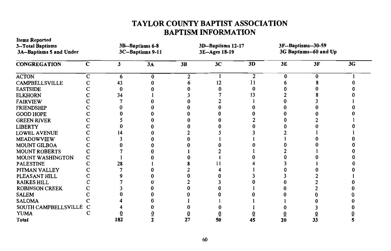# TAYLOR COUNTY BAPTIST ASSOCIATION **BAPTISM INFORMATION**

| 3-Total Baptisms<br>3A-Baptisms 5 and Under |             | 3B-Baptisms 6-8<br>3C-Baptisms 9-11 |    | 3D-Baptisms 12-17<br>3E-Ages 18-19 |    |    | 3F-Baptisms-30-59<br>3G Baptisms-60 and Up |    |    |
|---------------------------------------------|-------------|-------------------------------------|----|------------------------------------|----|----|--------------------------------------------|----|----|
| <b>CONGREGATION</b>                         | $\mathbf c$ | 3                                   | 3A | 3B                                 | 3C | 3D | 3E                                         | 3F | 3G |
| <b>ACTON</b>                                | с           | 6                                   | 0  | 2                                  |    | 2  | Λ                                          | o  |    |
| CAMPBELLSVILLE                              |             | 43                                  |    |                                    | 12 |    |                                            |    |    |
| <b>EASTSIDE</b>                             |             |                                     |    |                                    |    | o  |                                            |    |    |
| <b>ELKHORN</b>                              |             | 34                                  |    |                                    |    | 13 |                                            |    |    |
| <b>FAIRVIEW</b>                             |             |                                     |    |                                    |    |    |                                            |    |    |
| <b>FRIENDSHIP</b>                           |             |                                     |    |                                    |    |    |                                            |    |    |
| <b>GOOD HOPE</b>                            |             |                                     |    |                                    |    |    |                                            |    |    |
| <b>GREEN RIVER</b>                          |             |                                     |    |                                    |    |    |                                            |    |    |
| <b>LIBERTY</b>                              |             |                                     |    |                                    |    |    |                                            |    |    |
| <b>LOWEL AVENUE</b>                         |             |                                     |    |                                    |    |    |                                            |    |    |
| <b>MEADOWVIEW</b>                           |             |                                     |    |                                    |    |    |                                            |    |    |
| MOUNT GILBOA                                |             |                                     |    |                                    |    |    |                                            |    |    |
| <b>MOUNT ROBERTS</b>                        |             |                                     |    |                                    |    |    |                                            |    |    |
| MOUNT WASHINGTON                            |             |                                     |    |                                    |    |    |                                            |    |    |
| <b>PALESTINE</b>                            |             | 28                                  |    |                                    |    |    |                                            |    |    |
| PITMAN VALLEY                               |             |                                     |    |                                    |    |    |                                            |    |    |
| PLEASANT HILL                               |             |                                     |    |                                    |    |    |                                            |    |    |
| <b>RAIKES HILL</b>                          |             |                                     |    |                                    |    |    |                                            |    |    |
| <b>ROBINSON CREEK</b>                       |             |                                     |    |                                    |    |    |                                            |    |    |
| <b>SALEM</b>                                |             |                                     |    |                                    |    |    |                                            |    |    |
| <b>SALOMA</b>                               |             |                                     |    |                                    |    |    |                                            |    |    |
| SOUTH CAMPBELLSVILLE                        | C           |                                     |    |                                    |    |    |                                            |    |    |
| <b>YUMA</b>                                 |             |                                     |    |                                    |    |    |                                            |    |    |
| <b>Total</b>                                |             | 182                                 |    | 27                                 | 50 | 45 | 20                                         | 33 |    |

**Items Reported**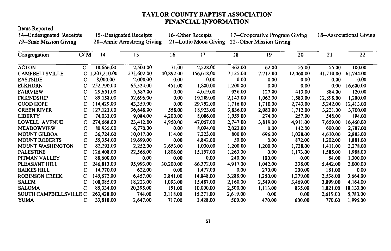## **TAYLOR COUNTY BAPTIST ASSOCIATION FINANCIAL INFORMATION**

Items Reported 14--Undesignated Receipts 15--Designated Receipts 16--Other Receipts 17--Cooperative Program Giving 18--Associational Giving 19--State Mission Giving 20--Annie Armstrong Giving 21--Lottie Moon Giving 22--Other Mission Giving  $\overline{C/M}$  $\overline{17}$  $\overline{21}$  $\overline{22}$ Congregation  $14$ 15 16  $\overline{18}$  $\overline{19}$ 20 **ACTON** 2.504.00 2,228.00 362.00  $\overline{c}$ 18,666.00  $71.00$  $62.00$  $55.00$  $55.00$ 100.00 40,892.00 CAMPBELLSVILLE  $\mathbf C$ 1,203,210.00 271,602.00 156,618.00 7,125.00 7.712.00 12,468.00 41,710.00 61,744.00 8,000.00 2,000.00  $0.00$  $0.00$ **EASTSIDE**  $\mathbf C$  $0.00$  $0.00$  $0.00$  $0.00$  $0.00$ **ELKHORN**  $\mathbf C$ 252,790.00 65,524.00 451.00 1.800.00 1.200.00  $0.00$  $0.00$  $0.00$ 16.600.00 **FAIRVIEW**  $\mathbf C$ 29,651.00 5,587.00  $0.00$ 4.019.00 936.00 127.00 413.00 884.00 120.00 **FRIENDSHIP**  $\mathbf C$ 89,158.00 52,696.00  $0.00$ 19,289.00 2,143.00 1,062.00 1,583.00 12,898.00 1,200.00 **GOOD HOPE** 114,429.00 43.359.00  $0.00$ 29.752.00 1.716.00 1,710.00 2.743.00  $\mathbf C$ 5.242.00 12,413.00 **GREEN RIVER**  $\mathbf C$ 127,123.00 36,648.00 558.00 18,923.00 3.836.00 2,083.00 1,712.00 3,221.00 3,700.00 **LIBERTY**  $\mathbf C$ 74,033,00 9,084.00 4,200.00 8,086.00 1,959.00 274.00 257.00 548.00 194.00 274.668.00 23,412.00 47.067.00 2.747.00 16,460.00 **LOWELL AVENUE**  $\mathbf C$ 4,950.00 3.819.00 4.911.00 7.659.00 **MEADOWVIEW**  $\mathbf C$ 80,935.00 6.770.00  $0.00$ 8,094.00 2,023.00  $0.00$ 142.00 600.00 2,787.00 **MOUNT GILBOA**  $\mathbf C$ 36,724.00 10,017.00 114.00 7,223.00 800.00 696.00 1,028.00 4,610.00 2,883.00 **MOUNT ROBERTS**  $\mathbf C$ 55,354.00 19.699.00  $0.00$ 4,842.00 50.00  $0.00$ 872.00 1.202.00 1.881.00 **MOUNT WASHINGTON**  $\mathbf C$ 82,293.00 2,252.00 2.653.00 1.000.00 1.200.00 1.200.00 1,738.00 1.411.00 3,278.00 **PALESTINE**  $\mathbf C$ 126,408.00 22,566.00 1,806.00 15,157.00 1,263.00  $0.00$ 1.173.00 1.988.00 1.585.00 PITMAN VALLEY 88,600.00  $0.00$  $0.00$  $0.00$ 240.00 100.00  $0.00$ 84.00 1,300.00  $\mathbf C$ PLEASANT HILL  $\mathbf C$ 246.813.00 95,993.00 30.200.00 66,372.00 4,917.00 1.042.00 338.00 5,442.00 3.000.00 **RAIKES HILL** 14,770.00 622.00 1,477.00  $0.00$ 270.00 200.00 181.00  $\mathbf C$  $0.00$  $0.00$ **ROBINSON CREEK**  $\mathbf C$ 145,872.00 6,457.00 2.841.00 14,848.00 3,288.00 1.250.00 1,279.00 2,538.00 3.664.00 **SALEM**  $\mathbf C$ 108,085.00 18,223.00 1,093.00 15,487.00 2,160.00 2,549.00 3,469.00 3.899.00 4,164.00 **SALOMA**  $\overline{C}$ 85,334.00 20.395.00 151.00 10.000.00 2.500.00 1,113.00 835.00 1.821.00 18,133.00 SOUTH CAMPBELLSVILLE C 263,428.00 744.00 3,118.00 15,271.00 2,619.00  $0.00$  $0.00$ 2,619.00 5,783.00 **YUMA**  $\mathbf C$ 33,810.00 2,647.00 717.00 3,428.00 500.00 470.00 600.00 770.00 1,995.00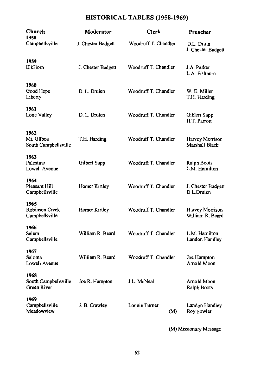# HISTORICAL TABLES (1958-1969)

| Woodruff T. Chandler<br>Campbellsville<br>J. Chester Badgett<br>D.L. Druin<br>J. Chester Badgett<br>1959<br>ElkHom<br>Woodruff T. Chandler<br>J.A. Parker<br>J. Chester Badgett<br>L.A. Fishburn<br>1960<br>Good Hope<br>D. L. Druien<br>Woodruff T. Chandler<br>W. E. Miller<br>Liberty<br>T.H. Harding<br>1961<br>Lone Valley<br>D. L. Druien<br>Woodruff T. Chandler<br>Giblert Sapp<br>H.T. Parrott<br>1962<br>Mt. Gilboa<br>T.H. Harding<br>Woodruff T. Chandler<br>Harvey Morrison<br>Marshall Black<br>South Campbellsville<br>1963<br>Palestine<br>Woodruff T. Chandler<br>Gilbert Sapp<br><b>Ralph Boots</b><br>Lowell Avenue<br>L.M. Hamilton<br>1964<br><b>Pleasant Hill</b><br>Woodruff T. Chandler<br>Homer Kirtley<br>J. Chester Badgett<br>D.L.Druien<br>Campbellsville<br>1965<br>Woodruff T. Chandler<br>Robinson Creek<br>Homer Kirtley<br>Harvey Morrison<br>William R. Beard<br>Campbellsville<br>1966<br>William R. Beard<br>Woodruff T. Chandler<br>L.M. Hamilton<br>Salem<br>Campbellsville<br>Landon Handley<br>1967<br>Woodruff T. Chandler<br>William R. Beard<br>Saloma<br>Joe Hampton<br>Lowell Avenue<br>Arnold Moon<br>1968<br>South Campbellsville<br>J.L. McNeal<br>Arnold Moon<br>Joe R. Hampton<br>Green River<br>Ralph Boots<br>1969<br>Lonnie Turner<br>Campbellsville<br>J. B. Crawley<br>Landon Handley<br>Meadowview<br>Roy Fowler<br>(M) | Church<br>1958 | Moderator | Clerk | Preacher |
|----------------------------------------------------------------------------------------------------------------------------------------------------------------------------------------------------------------------------------------------------------------------------------------------------------------------------------------------------------------------------------------------------------------------------------------------------------------------------------------------------------------------------------------------------------------------------------------------------------------------------------------------------------------------------------------------------------------------------------------------------------------------------------------------------------------------------------------------------------------------------------------------------------------------------------------------------------------------------------------------------------------------------------------------------------------------------------------------------------------------------------------------------------------------------------------------------------------------------------------------------------------------------------------------------------------------------------------------------------------------------------|----------------|-----------|-------|----------|
|                                                                                                                                                                                                                                                                                                                                                                                                                                                                                                                                                                                                                                                                                                                                                                                                                                                                                                                                                                                                                                                                                                                                                                                                                                                                                                                                                                                  |                |           |       |          |
|                                                                                                                                                                                                                                                                                                                                                                                                                                                                                                                                                                                                                                                                                                                                                                                                                                                                                                                                                                                                                                                                                                                                                                                                                                                                                                                                                                                  |                |           |       |          |
|                                                                                                                                                                                                                                                                                                                                                                                                                                                                                                                                                                                                                                                                                                                                                                                                                                                                                                                                                                                                                                                                                                                                                                                                                                                                                                                                                                                  |                |           |       |          |
|                                                                                                                                                                                                                                                                                                                                                                                                                                                                                                                                                                                                                                                                                                                                                                                                                                                                                                                                                                                                                                                                                                                                                                                                                                                                                                                                                                                  |                |           |       |          |
|                                                                                                                                                                                                                                                                                                                                                                                                                                                                                                                                                                                                                                                                                                                                                                                                                                                                                                                                                                                                                                                                                                                                                                                                                                                                                                                                                                                  |                |           |       |          |
|                                                                                                                                                                                                                                                                                                                                                                                                                                                                                                                                                                                                                                                                                                                                                                                                                                                                                                                                                                                                                                                                                                                                                                                                                                                                                                                                                                                  |                |           |       |          |
|                                                                                                                                                                                                                                                                                                                                                                                                                                                                                                                                                                                                                                                                                                                                                                                                                                                                                                                                                                                                                                                                                                                                                                                                                                                                                                                                                                                  |                |           |       |          |
|                                                                                                                                                                                                                                                                                                                                                                                                                                                                                                                                                                                                                                                                                                                                                                                                                                                                                                                                                                                                                                                                                                                                                                                                                                                                                                                                                                                  |                |           |       |          |
|                                                                                                                                                                                                                                                                                                                                                                                                                                                                                                                                                                                                                                                                                                                                                                                                                                                                                                                                                                                                                                                                                                                                                                                                                                                                                                                                                                                  |                |           |       |          |
|                                                                                                                                                                                                                                                                                                                                                                                                                                                                                                                                                                                                                                                                                                                                                                                                                                                                                                                                                                                                                                                                                                                                                                                                                                                                                                                                                                                  |                |           |       |          |
|                                                                                                                                                                                                                                                                                                                                                                                                                                                                                                                                                                                                                                                                                                                                                                                                                                                                                                                                                                                                                                                                                                                                                                                                                                                                                                                                                                                  |                |           |       |          |
|                                                                                                                                                                                                                                                                                                                                                                                                                                                                                                                                                                                                                                                                                                                                                                                                                                                                                                                                                                                                                                                                                                                                                                                                                                                                                                                                                                                  |                |           |       |          |

(M) Missionary Message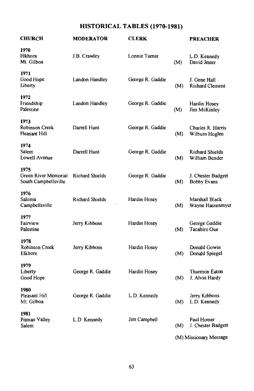# HISTORICAL TABLES (1970-1981)

| <b>CHURCH</b>                                        | <b>MODERATOR</b>       | <b>CLERK</b>     |     | <b>PREACHER</b>                          |
|------------------------------------------------------|------------------------|------------------|-----|------------------------------------------|
| 1970<br>Elkhorn<br>Mt. Gilboa                        | J.B. Crawley           | Lonnie Turner    | (M) | L.D. Kennedy<br>David Jester             |
| 1971<br>Good Hope<br>Liberty                         | Landon Handley         | George R. Gaddie | (M) | J. Gene Hall<br><b>Richard Clement</b>   |
| 1972<br>Friendship<br>Palestine                      | Landon Handley         | George R. Gaddie | (M) | Hardin Hosey<br>Jim McKinley             |
| 1973<br>Robinson Creek<br>Pleasant Hill              | Darrell Hunt           | George R. Gaddie | (M) | Charles R. Harris<br>Wilburn Hoglen      |
| 1974<br>Salem<br>Lowell Avenue                       | Darrell Hunt           | George R. Gaddie | (M) | <b>Richard Shields</b><br>William Bender |
| 1975<br>Green River Memorial<br>South Campbellsville | Richard Shields        | George R. Gaddie | (M) | J. Chester Badgett<br><b>Bobby Evans</b> |
| 1976<br>Saloma<br>Campbellsville                     | <b>Richard Shields</b> | Hardin Hosey     | (M) | Marshall Black<br>Wayne Hassenmyer       |
| 1977<br>Fairview<br>Palestine                        | Jerry Kibbons          | Hardin Hosey     | (M) | George Gaddie<br>Tacahiro Oue            |
| 1978<br>Robinson Creek<br>Elkhorn                    | Jerry Kibbons          | Hardin Hosey     | (M) | Donald Gowin<br>Donald Spiegel           |
| 1979<br>Liberty<br>Good Hope                         | George R. Gaddie       | Hardin Hosey     | (M) | Thurmon Eaton<br>J. Alvin Hardy          |
| 1980<br>Pleasant Hill<br>Mt. Gilboa                  | George R. Gaddie       | L.D. Kennedy     | (M) | Jerry Kibbons<br>L.D. Kennedy            |
| 1981<br>Pitman Valley<br>Salem                       | L.D Kennedy            | Jim Campbell     | (M) | Paul Homer<br>J. Chester Badgett         |
|                                                      |                        |                  |     | (M) Missionary Message                   |

63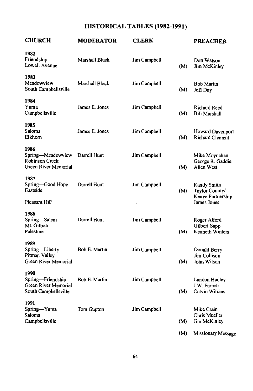# HISTORICAL TABLES (1982-1991)

| <b>CHURCH</b>                                                             | MODERATOR            | <b>CLERK</b> |     | <b>PREACHER</b>                                    |
|---------------------------------------------------------------------------|----------------------|--------------|-----|----------------------------------------------------|
| 1982<br>Friendship<br>Lowell Avenue                                       | Marshall Black       | Jim Campbell | (M) | Don Watson<br>Jim McKinley                         |
| 1983<br>Meadowview<br>South Campbellsville                                | Marshall Black       | Jim Campbell | (M) | <b>Bob Martin</b><br>Jeff Day                      |
| 1984<br>Yuma<br>Campbellsville                                            | James E. Jones       | Jim Campbell | (M) | Richard Reed<br>Bill Marshall                      |
| 1985<br>Saloma<br>Elkhorn                                                 | James E. Jones       | Jim Campbell | (M) | Howard Davenport<br>Richard Clement                |
| 1986<br>Spring-Meadowview<br>Robinson Creek<br>Green River Memorial       | Darrell Hunt         | Jim Campbell | (M) | Mike Moynahan<br>George R. Gaddie<br>Allen West    |
| 1987<br>Spring-Good Hope<br>Eastside                                      | Darrell Hunt         | Jim Campbell | (M) | Randy Smith<br>Taylor County/<br>Kenya Partnership |
| Pleasant Hill                                                             |                      |              |     | James Jones                                        |
| 1988<br>Spring-Salem<br>Mt. Gilboa<br>Palestine                           | Darrell Hunt         | Jim Campbell | (M) | Roger Alford<br>Gilbert Sapp<br>Kenneth Winters    |
| 1989<br>Spring-Liberty<br>Pitman Valley<br>Green River Memorial           | Bob E. Martin        | Jim Campbell | (M) | Donald Berry<br>Jim Collison<br>John Wilson        |
| 1990<br>Spring-Friendship<br>Green River Memorial<br>South Campbellsville | <b>Bob E. Martin</b> | Jim Campbell | (M) | Landon Hadley<br>J.W. Farmer<br>Calvin Wilkins     |
| 1991<br>Spring-Yuma<br>Saloma<br>Campbellsville                           | Tom Gupton           | Jim Campbell | (M) | Mike Crain<br>Chris Mueller<br>Jim McKinley        |
|                                                                           |                      |              | (M) | Missionary Message                                 |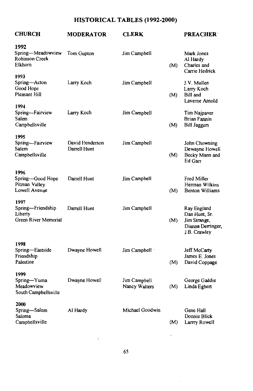# HISTORICAL TABLES (1992-2000)

| <b>CHURCH</b>                                                | <b>MODERATOR</b>                | <b>CLERK</b>                  |     | <b>PREACHER</b>                                                                  |
|--------------------------------------------------------------|---------------------------------|-------------------------------|-----|----------------------------------------------------------------------------------|
| 1992<br>Spring-Meadowview<br>Robinson Creek<br>Elkhorn       | Tom Gupton                      | Jim Campbell                  | (M) | Mark Jones<br>Al Hardy<br>Charles and<br>Carrie Hedrick                          |
| 1993<br>Spring—Acton<br>Good Hope<br>Pleasant Hill           | Larry Koch                      | Jim Campbell                  | (M) | J.V. Mullen<br>Larry Koch<br>Bill and<br>Laverne Amold                           |
| 1994<br>Spring-Fairview<br>Salem<br>Campbellsville           | Larry Koch                      | Jim Campbell                  | (M) | Tim Najpaver<br>Brian Fannin<br><b>Bill Jaggers</b>                              |
| 1995<br>Spring--Fairview<br>Salem<br>Campbellsville          | David Henderson<br>Darrell Hunt | Jim Campbell                  | (M) | John Chowning<br>Dewayne Howell<br>Becky Mann and<br>Ed Garr                     |
| 1996<br>Spring-Good Hope<br>Pitman Valley<br>Lowell Avenue   | Darrell Hunt                    | Jim Campbell                  | (M) | Fred Miller<br>Herman Wilkins<br><b>Benton Williams</b>                          |
| 1997<br>Spring-Friendship<br>Liberty<br>Green River Memorial | Darrell Hunt                    | Jim Campbell                  | (M) | Ray England<br>Dan Hunt, Sr.<br>Jim Strange,<br>Dianna Derringer<br>J.B. Crawley |
| 1998<br>Spring-Eastside<br>Friendship<br>Palestine           | Dwayne Howell                   | Jim Campbell                  | (M) | Jeff McCarty<br>James E. Jones<br>David Coppage                                  |
| 1999<br>Spring-Yuma<br>Meadowview<br>South Campbellsville    | Dwayne Howell                   | Jim Campbell<br>Nancy Walters | (M) | George Gaddie<br>Linda Egbert                                                    |
| 2000<br>Spring-Salem<br>Saloma<br>Campbellsville             | Al Hardy                        | Michael Goodwin               | (M) | Gene Hall<br>Donnie Blick<br>Larrry Rowell                                       |

ŀ,

l,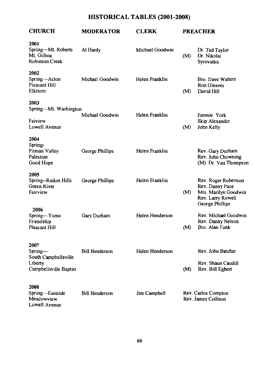# HISTORICAL TABLES (2001-2008)

| <b>CHURCH</b>                                                                | <b>MODERATOR</b>      | CLERK           | <b>PREACHER</b> |                                                                                                         |  |
|------------------------------------------------------------------------------|-----------------------|-----------------|-----------------|---------------------------------------------------------------------------------------------------------|--|
| 2001<br>Spring-Mt. Roberts<br>Mt. Gilboa<br>Robinson Creek                   | Al Hardy              | Michael Goodwin | (M)             | Dr. Ted Taylor<br>Dr. Nikolai<br>Syrovatka                                                              |  |
| 2002<br>Spring-Acton<br>Pleasant Hill<br>Elkhorn                             | Michael Goodwin       | Helen Franklin  | (M)             | <b>Bro. Dave Walters</b><br>Ron Gleaves<br>David Hill                                                   |  |
| 2003<br>Spring-Mt. Washington<br>Faiview<br>Lowell Avenue                    | Michael Goodwin       | Helen Franklin  | (M)             | Jimmie York<br>Skip Alexander<br>John Kelly                                                             |  |
| 2004<br>Spring-<br>Pitman Valley<br>Palestine<br>Good Hope                   | George Phillips       | Helen Franklin  |                 | Rev. Gary Durham<br>Rev. John Chowning<br>(M) Dr. Van Thompson                                          |  |
| 2005<br>Spring--Raikes Hills<br>Green River<br>Fairview                      | George Phillips       | Helen Franklin  | (M)             | Rev. Roger Robertson<br>Rev. Danny Pace<br>Mrs. Marilyn Goodwin<br>Rev. Larry Rowell<br>George Phillips |  |
| 2006<br>Spring-Yuma<br>Friendship<br>Pleasant Hill                           | Gary Durham           | Helen Henderson | (M)             | Rev. Michael Goodwin<br>Rev. Danny Nelson<br>Bro. Alan Funk                                             |  |
| 2007<br>Spring—<br>South Campbellsville<br>Liberty<br>Campbellsville Baptist | <b>Bill Henderson</b> | Helen Henderson | (M)             | Rev. John Batcher<br>Rev. Shaun Caudill<br>Rev. Bill Egbert                                             |  |
| 2008<br>Spring-Eastside<br>Meadowview<br>Lowell Avenue                       | <b>Bill Henderson</b> | Jim Campbell    |                 | Rev. Carlos Compton<br>Rev. James Collison                                                              |  |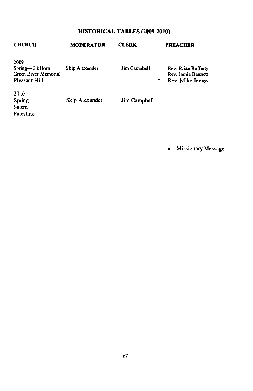# HISTORICAL TABLES (2009-2010)

| <b>CHURCH</b>                                                   | <b>MODERATOR</b> | <b>CLERK</b>      | <b>PREACHER</b>                                              |
|-----------------------------------------------------------------|------------------|-------------------|--------------------------------------------------------------|
| 2009<br>Spring—ElkHorn<br>Green River Memorial<br>Pleasant Hill | Skip Alexander   | Jim Campbell<br>۰ | Rev. Brian Rafferty<br>Rev. Jamie Bennett<br>Rev. Mike James |
| 2010<br>Spring<br>Salem<br>Palestine                            | Skip Alexander   | Jim Campbell      |                                                              |

• Missionary Message